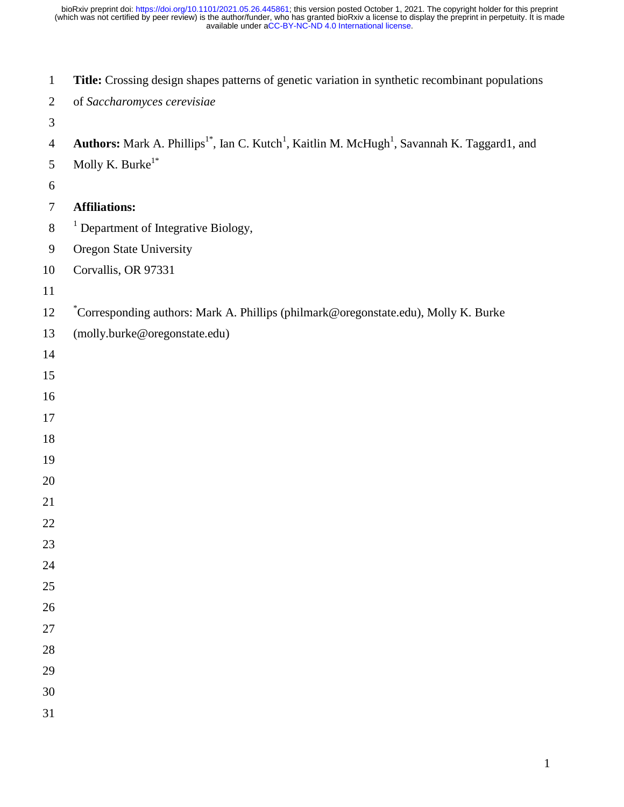| $\mathbf{1}$     | Title: Crossing design shapes patterns of genetic variation in synthetic recombinant populations                                 |
|------------------|----------------------------------------------------------------------------------------------------------------------------------|
| $\overline{2}$   | of Saccharomyces cerevisiae                                                                                                      |
| 3                |                                                                                                                                  |
| $\overline{4}$   | Authors: Mark A. Phillips <sup>1*</sup> , Ian C. Kutch <sup>1</sup> , Kaitlin M. McHugh <sup>1</sup> , Savannah K. Taggard1, and |
| 5                | Molly K. Burke <sup>1*</sup>                                                                                                     |
| 6                |                                                                                                                                  |
| $\tau$           | <b>Affiliations:</b>                                                                                                             |
| $8\,$            | <sup>1</sup> Department of Integrative Biology,                                                                                  |
| $\boldsymbol{9}$ | <b>Oregon State University</b>                                                                                                   |
| 10               | Corvallis, OR 97331                                                                                                              |
| 11               |                                                                                                                                  |
| 12               | *Corresponding authors: Mark A. Phillips (philmark@oregonstate.edu), Molly K. Burke                                              |
| 13               | (molly.burke@oregonstate.edu)                                                                                                    |
| 14               |                                                                                                                                  |
| 15               |                                                                                                                                  |
| 16               |                                                                                                                                  |
| 17               |                                                                                                                                  |
| $18\,$           |                                                                                                                                  |
| 19               |                                                                                                                                  |
| 20               |                                                                                                                                  |
| 21               |                                                                                                                                  |
| 22               |                                                                                                                                  |
| 23               |                                                                                                                                  |
| 24               |                                                                                                                                  |
| 25               |                                                                                                                                  |
| 26               |                                                                                                                                  |
| 27               |                                                                                                                                  |
| 28               |                                                                                                                                  |
| 29               |                                                                                                                                  |
| 30               |                                                                                                                                  |
| 31               |                                                                                                                                  |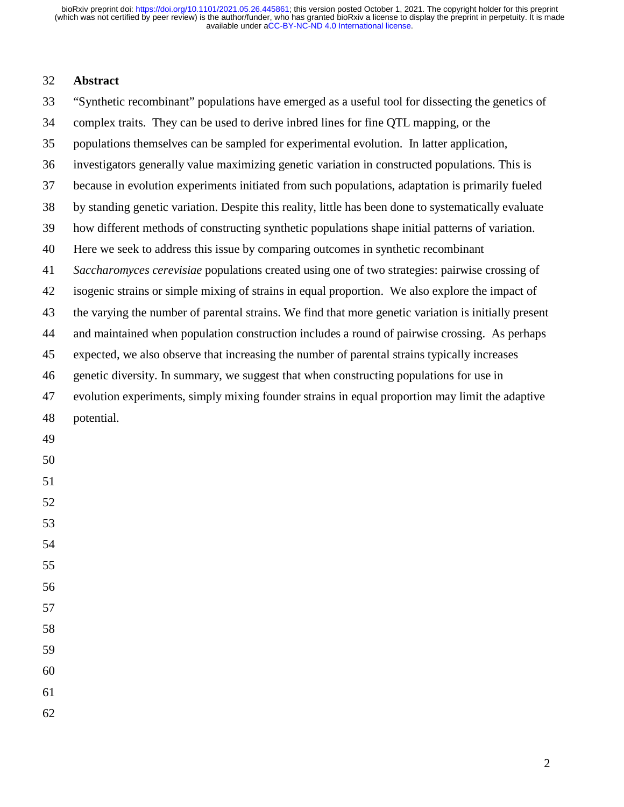# 32 **Abstract**

| 33 | "Synthetic recombinant" populations have emerged as a useful tool for dissecting the genetics of     |
|----|------------------------------------------------------------------------------------------------------|
| 34 | complex traits. They can be used to derive inbred lines for fine QTL mapping, or the                 |
| 35 | populations themselves can be sampled for experimental evolution. In latter application,             |
| 36 | investigators generally value maximizing genetic variation in constructed populations. This is       |
| 37 | because in evolution experiments initiated from such populations, adaptation is primarily fueled     |
| 38 | by standing genetic variation. Despite this reality, little has been done to systematically evaluate |
| 39 | how different methods of constructing synthetic populations shape initial patterns of variation.     |
| 40 | Here we seek to address this issue by comparing outcomes in synthetic recombinant                    |
| 41 | Saccharomyces cerevisiae populations created using one of two strategies: pairwise crossing of       |
| 42 | isogenic strains or simple mixing of strains in equal proportion. We also explore the impact of      |
| 43 | the varying the number of parental strains. We find that more genetic variation is initially present |
| 44 | and maintained when population construction includes a round of pairwise crossing. As perhaps        |
| 45 | expected, we also observe that increasing the number of parental strains typically increases         |
| 46 | genetic diversity. In summary, we suggest that when constructing populations for use in              |
| 47 | evolution experiments, simply mixing founder strains in equal proportion may limit the adaptive      |
| 48 | potential.                                                                                           |
| 49 |                                                                                                      |
| 50 |                                                                                                      |
| 51 |                                                                                                      |
| 52 |                                                                                                      |
| 53 |                                                                                                      |
| 54 |                                                                                                      |
| 55 |                                                                                                      |
| 56 |                                                                                                      |
| 57 |                                                                                                      |
| 58 |                                                                                                      |
| 59 |                                                                                                      |
| 60 |                                                                                                      |
| 61 |                                                                                                      |
| 62 |                                                                                                      |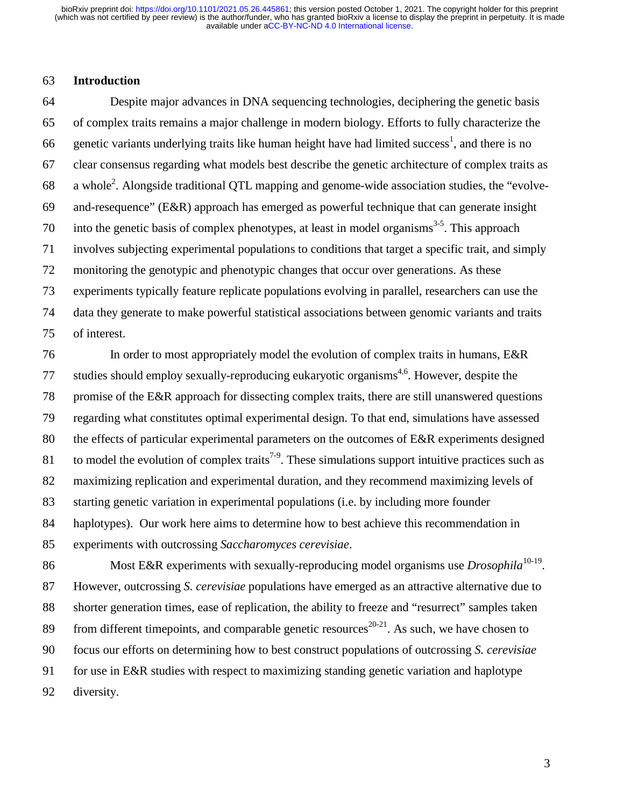#### 63 **Introduction**

64 Despite major advances in DNA sequencing technologies, deciphering the genetic basis 65 of complex traits remains a major challenge in modern biology. Efforts to fully characterize the 66 genetic variants underlying traits like human height have had limited success<sup>1</sup>, and there is no 67 clear consensus regarding what models best describe the genetic architecture of complex traits as  $68$  a whole<sup>2</sup>. Alongside traditional OTL mapping and genome-wide association studies, the "evolve-69 and-resequence" (E&R) approach has emerged as powerful technique that can generate insight 70 into the genetic basis of complex phenotypes, at least in model organisms<sup>3-5</sup>. This approach 71 involves subjecting experimental populations to conditions that target a specific trait, and simply 72 monitoring the genotypic and phenotypic changes that occur over generations. As these 73 experiments typically feature replicate populations evolving in parallel, researchers can use the 74 data they generate to make powerful statistical associations between genomic variants and traits 75 of interest.

76 In order to most appropriately model the evolution of complex traits in humans, E&R 77 studies should employ sexually-reproducing eukaryotic organisms<sup>4,6</sup>. However, despite the 78 promise of the E&R approach for dissecting complex traits, there are still unanswered questions 79 regarding what constitutes optimal experimental design. To that end, simulations have assessed 80 the effects of particular experimental parameters on the outcomes of E&R experiments designed 81 to model the evolution of complex traits<sup>7-9</sup>. These simulations support intuitive practices such as 82 maximizing replication and experimental duration, and they recommend maximizing levels of 83 starting genetic variation in experimental populations (i.e. by including more founder 84 haplotypes). Our work here aims to determine how to best achieve this recommendation in 85 experiments with outcrossing *Saccharomyces cerevisiae*.

Most E&R experiments with sexually-reproducing model organisms use *Drosophila*<sup>10-19</sup>. 87 However, outcrossing *S. cerevisiae* populations have emerged as an attractive alternative due to 88 shorter generation times, ease of replication, the ability to freeze and "resurrect" samples taken 89 from different timepoints, and comparable genetic resources<sup>20-21</sup>. As such, we have chosen to 90 focus our efforts on determining how to best construct populations of outcrossing *S. cerevisiae* 91 for use in E&R studies with respect to maximizing standing genetic variation and haplotype 92 diversity.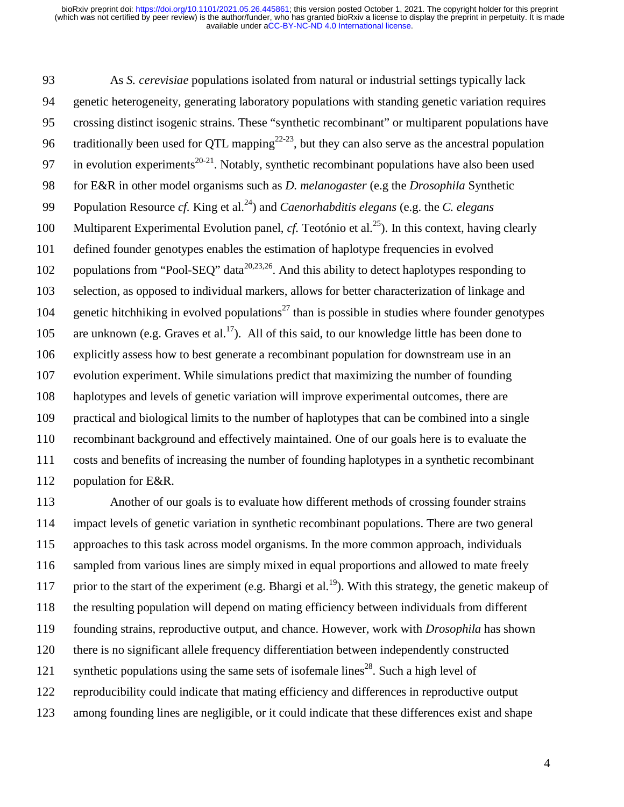93 As *S. cerevisiae* populations isolated from natural or industrial settings typically lack 94 genetic heterogeneity, generating laboratory populations with standing genetic variation requires 95 crossing distinct isogenic strains. These "synthetic recombinant" or multiparent populations have 96 traditionally been used for QTL mapping<sup>22-23</sup>, but they can also serve as the ancestral population 97 in evolution experiments<sup>20-21</sup>. Notably, synthetic recombinant populations have also been used 98 for E&R in other model organisms such as *D. melanogaster* (e.g the *Drosophila* Synthetic 99 Population Resource *cf.* King et al.<sup>24</sup>) and *Caenorhabditis elegans* (e.g. the *C. elegans* 100 Multiparent Experimental Evolution panel, *cf.* Teotónio et al.<sup>25</sup>). In this context, having clearly 101 defined founder genotypes enables the estimation of haplotype frequencies in evolved 102 populations from "Pool-SEQ" data<sup>20,23,26</sup>. And this ability to detect haplotypes responding to 103 selection, as opposed to individual markers, allows for better characterization of linkage and 104 genetic hitchhiking in evolved populations<sup>27</sup> than is possible in studies where founder genotypes 105 are unknown (e.g. Graves et al.<sup>17</sup>). All of this said, to our knowledge little has been done to 106 explicitly assess how to best generate a recombinant population for downstream use in an 107 evolution experiment. While simulations predict that maximizing the number of founding 108 haplotypes and levels of genetic variation will improve experimental outcomes, there are 109 practical and biological limits to the number of haplotypes that can be combined into a single 110 recombinant background and effectively maintained. One of our goals here is to evaluate the 111 costs and benefits of increasing the number of founding haplotypes in a synthetic recombinant 112 population for E&R.

113 Another of our goals is to evaluate how different methods of crossing founder strains 114 impact levels of genetic variation in synthetic recombinant populations. There are two general 115 approaches to this task across model organisms. In the more common approach, individuals 116 sampled from various lines are simply mixed in equal proportions and allowed to mate freely 117 prior to the start of the experiment (e.g. Bhargi et al.<sup>19</sup>). With this strategy, the genetic makeup of 118 the resulting population will depend on mating efficiency between individuals from different 119 founding strains, reproductive output, and chance. However, work with *Drosophila* has shown 120 there is no significant allele frequency differentiation between independently constructed 121 synthetic populations using the same sets of isofemale lines<sup>28</sup>. Such a high level of 122 reproducibility could indicate that mating efficiency and differences in reproductive output 123 among founding lines are negligible, or it could indicate that these differences exist and shape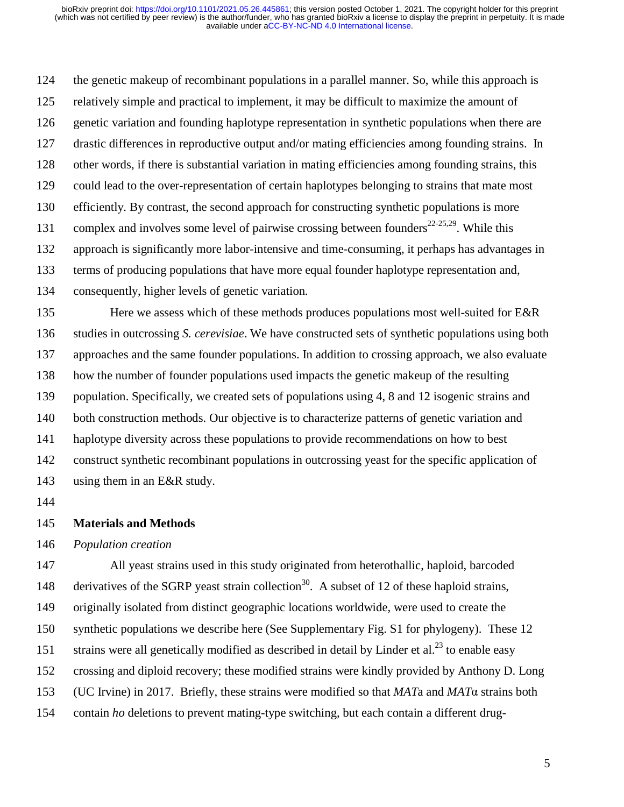124 the genetic makeup of recombinant populations in a parallel manner. So, while this approach is 125 relatively simple and practical to implement, it may be difficult to maximize the amount of 126 genetic variation and founding haplotype representation in synthetic populations when there are 127 drastic differences in reproductive output and/or mating efficiencies among founding strains. In 128 other words, if there is substantial variation in mating efficiencies among founding strains, this 129 could lead to the over-representation of certain haplotypes belonging to strains that mate most 130 efficiently. By contrast, the second approach for constructing synthetic populations is more 131 complex and involves some level of pairwise crossing between founders<sup>22-25,29</sup>. While this 132 approach is significantly more labor-intensive and time-consuming, it perhaps has advantages in 133 terms of producing populations that have more equal founder haplotype representation and, 134 consequently, higher levels of genetic variation.

135 Here we assess which of these methods produces populations most well-suited for E&R 136 studies in outcrossing *S. cerevisiae*. We have constructed sets of synthetic populations using both 137 approaches and the same founder populations. In addition to crossing approach, we also evaluate 138 how the number of founder populations used impacts the genetic makeup of the resulting 139 population. Specifically, we created sets of populations using 4, 8 and 12 isogenic strains and 140 both construction methods. Our objective is to characterize patterns of genetic variation and 141 haplotype diversity across these populations to provide recommendations on how to best 142 construct synthetic recombinant populations in outcrossing yeast for the specific application of 143 using them in an E&R study.

144

#### 145 **Materials and Methods**

146 *Population creation* 

147 All yeast strains used in this study originated from heterothallic, haploid, barcoded 148 derivatives of the SGRP yeast strain collection<sup>30</sup>. A subset of 12 of these haploid strains, 149 originally isolated from distinct geographic locations worldwide, were used to create the 150 synthetic populations we describe here (See Supplementary Fig. S1 for phylogeny). These 12 151 strains were all genetically modified as described in detail by Linder et al.<sup>23</sup> to enable easy 152 crossing and diploid recovery; these modified strains were kindly provided by Anthony D. Long 153 (UC Irvine) in 2017. Briefly, these strains were modified so that *MAT*a and *MAT*α strains both 154 contain *ho* deletions to prevent mating-type switching, but each contain a different drug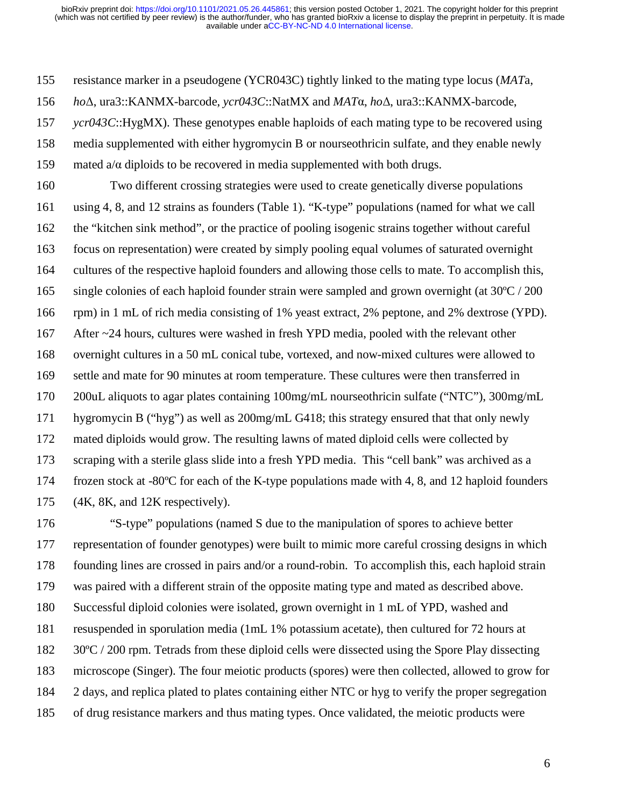155 resistance marker in a pseudogene (YCR043C) tightly linked to the mating type locus (*MAT*a,

<sup>156</sup>*ho*Δ, ura3::KANMX-barcode, *ycr043C*::NatMX and *MAT*α, *ho*Δ, ura3::KANMX-barcode,

157 *ycr043C*::HygMX). These genotypes enable haploids of each mating type to be recovered using

158 media supplemented with either hygromycin B or nourseothricin sulfate, and they enable newly 159 mated  $a/\alpha$  diploids to be recovered in media supplemented with both drugs.

160 Two different crossing strategies were used to create genetically diverse populations 161 using 4, 8, and 12 strains as founders (Table 1). "K-type" populations (named for what we call 162 the "kitchen sink method", or the practice of pooling isogenic strains together without careful 163 focus on representation) were created by simply pooling equal volumes of saturated overnight 164 cultures of the respective haploid founders and allowing those cells to mate. To accomplish this, 165 single colonies of each haploid founder strain were sampled and grown overnight (at 30ºC / 200 166 rpm) in 1 mL of rich media consisting of 1% yeast extract, 2% peptone, and 2% dextrose (YPD). 167 After ~24 hours, cultures were washed in fresh YPD media, pooled with the relevant other 168 overnight cultures in a 50 mL conical tube, vortexed, and now-mixed cultures were allowed to 169 settle and mate for 90 minutes at room temperature. These cultures were then transferred in 170 200uL aliquots to agar plates containing 100mg/mL nourseothricin sulfate ("NTC"), 300mg/mL 171 hygromycin B ("hyg") as well as 200mg/mL G418; this strategy ensured that that only newly 172 mated diploids would grow. The resulting lawns of mated diploid cells were collected by 173 scraping with a sterile glass slide into a fresh YPD media. This "cell bank" was archived as a 174 frozen stock at -80ºC for each of the K-type populations made with 4, 8, and 12 haploid founders 175 (4K, 8K, and 12K respectively).

176 "S-type" populations (named S due to the manipulation of spores to achieve better 177 representation of founder genotypes) were built to mimic more careful crossing designs in which 178 founding lines are crossed in pairs and/or a round-robin. To accomplish this, each haploid strain 179 was paired with a different strain of the opposite mating type and mated as described above. 180 Successful diploid colonies were isolated, grown overnight in 1 mL of YPD, washed and 181 resuspended in sporulation media (1mL 1% potassium acetate), then cultured for 72 hours at 182 30ºC / 200 rpm. Tetrads from these diploid cells were dissected using the Spore Play dissecting 183 microscope (Singer). The four meiotic products (spores) were then collected, allowed to grow for 184 2 days, and replica plated to plates containing either NTC or hyg to verify the proper segregation 185 of drug resistance markers and thus mating types. Once validated, the meiotic products were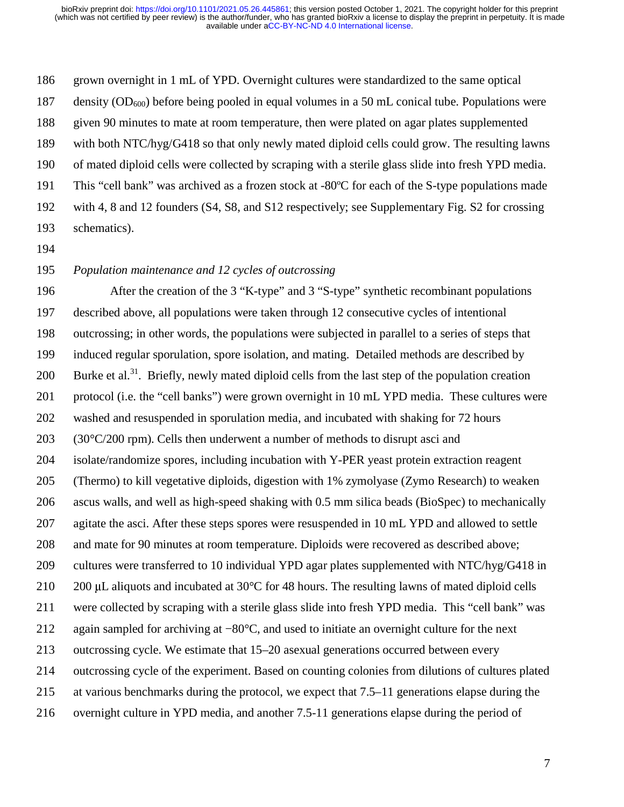186 grown overnight in 1 mL of YPD. Overnight cultures were standardized to the same optical 187 density  $(OD_{600})$  before being pooled in equal volumes in a 50 mL conical tube. Populations were 188 given 90 minutes to mate at room temperature, then were plated on agar plates supplemented 189 with both NTC/hyg/G418 so that only newly mated diploid cells could grow. The resulting lawns 190 of mated diploid cells were collected by scraping with a sterile glass slide into fresh YPD media. 191 This "cell bank" was archived as a frozen stock at -80ºC for each of the S-type populations made 192 with 4, 8 and 12 founders (S4, S8, and S12 respectively; see Supplementary Fig. S2 for crossing 193 schematics).

- 194
- 195 *Population maintenance and 12 cycles of outcrossing*

196 After the creation of the 3 "K-type" and 3 "S-type" synthetic recombinant populations 197 described above, all populations were taken through 12 consecutive cycles of intentional 198 outcrossing; in other words, the populations were subjected in parallel to a series of steps that 199 induced regular sporulation, spore isolation, and mating. Detailed methods are described by 200 Burke et al.<sup>31</sup>. Briefly, newly mated diploid cells from the last step of the population creation 201 protocol (i.e. the "cell banks") were grown overnight in 10 mL YPD media. These cultures were 202 washed and resuspended in sporulation media, and incubated with shaking for 72 hours 203 (30°C/200 rpm). Cells then underwent a number of methods to disrupt asci and 204 isolate/randomize spores, including incubation with Y-PER yeast protein extraction reagent 205 (Thermo) to kill vegetative diploids, digestion with 1% zymolyase (Zymo Research) to weaken 206 ascus walls, and well as high-speed shaking with 0.5 mm silica beads (BioSpec) to mechanically 207 agitate the asci. After these steps spores were resuspended in 10 mL YPD and allowed to settle 208 and mate for 90 minutes at room temperature. Diploids were recovered as described above; 209 cultures were transferred to 10 individual YPD agar plates supplemented with NTC/hyg/G418 in 210 200 µL aliquots and incubated at 30 °C for 48 hours. The resulting lawns of mated diploid cells 211 were collected by scraping with a sterile glass slide into fresh YPD media. This "cell bank" was 212 again sampled for archiving at −80°C, and used to initiate an overnight culture for the next 213 outcrossing cycle. We estimate that 15–20 asexual generations occurred between every 214 outcrossing cycle of the experiment. Based on counting colonies from dilutions of cultures plated 215 at various benchmarks during the protocol, we expect that 7.5–11 generations elapse during the 216 overnight culture in YPD media, and another 7.5-11 generations elapse during the period of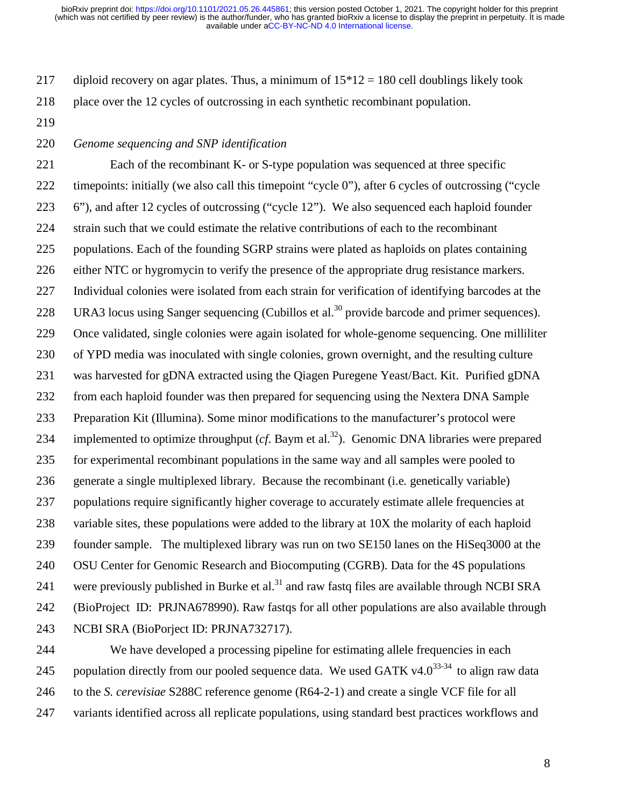217 diploid recovery on agar plates. Thus, a minimum of  $15*12 = 180$  cell doublings likely took

218 place over the 12 cycles of outcrossing in each synthetic recombinant population.

219

#### 220 *Genome sequencing and SNP identification*

221 Each of the recombinant K- or S-type population was sequenced at three specific 222 timepoints: initially (we also call this timepoint "cycle 0"), after 6 cycles of outcrossing ("cycle 223 6"), and after 12 cycles of outcrossing ("cycle 12"). We also sequenced each haploid founder 224 strain such that we could estimate the relative contributions of each to the recombinant 225 populations. Each of the founding SGRP strains were plated as haploids on plates containing 226 either NTC or hygromycin to verify the presence of the appropriate drug resistance markers. 227 Individual colonies were isolated from each strain for verification of identifying barcodes at the 228 URA3 locus using Sanger sequencing (Cubillos et al.<sup>30</sup> provide barcode and primer sequences). 229 Once validated, single colonies were again isolated for whole-genome sequencing. One milliliter 230 of YPD media was inoculated with single colonies, grown overnight, and the resulting culture 231 was harvested for gDNA extracted using the Qiagen Puregene Yeast/Bact. Kit. Purified gDNA 232 from each haploid founder was then prepared for sequencing using the Nextera DNA Sample 233 Preparation Kit (Illumina). Some minor modifications to the manufacturer's protocol were 234 implemented to optimize throughput  $(cf.$  Baym et al.<sup>32</sup>). Genomic DNA libraries were prepared 235 for experimental recombinant populations in the same way and all samples were pooled to 236 generate a single multiplexed library. Because the recombinant (i.e*.* genetically variable) 237 populations require significantly higher coverage to accurately estimate allele frequencies at 238 variable sites, these populations were added to the library at 10X the molarity of each haploid 239 founder sample. The multiplexed library was run on two SE150 lanes on the HiSeq3000 at the 240 OSU Center for Genomic Research and Biocomputing (CGRB). Data for the 4S populations 241 were previously published in Burke et al.<sup>31</sup> and raw fastq files are available through NCBI SRA 242 (BioProject ID: PRJNA678990). Raw fastqs for all other populations are also available through 243 NCBI SRA (BioPorject ID: PRJNA732717).

244 We have developed a processing pipeline for estimating allele frequencies in each 245 population directly from our pooled sequence data. We used GATK v4.0<sup>33-34</sup> to align raw data 246 to the *S. cerevisiae* S288C reference genome (R64-2-1) and create a single VCF file for all 247 variants identified across all replicate populations, using standard best practices workflows and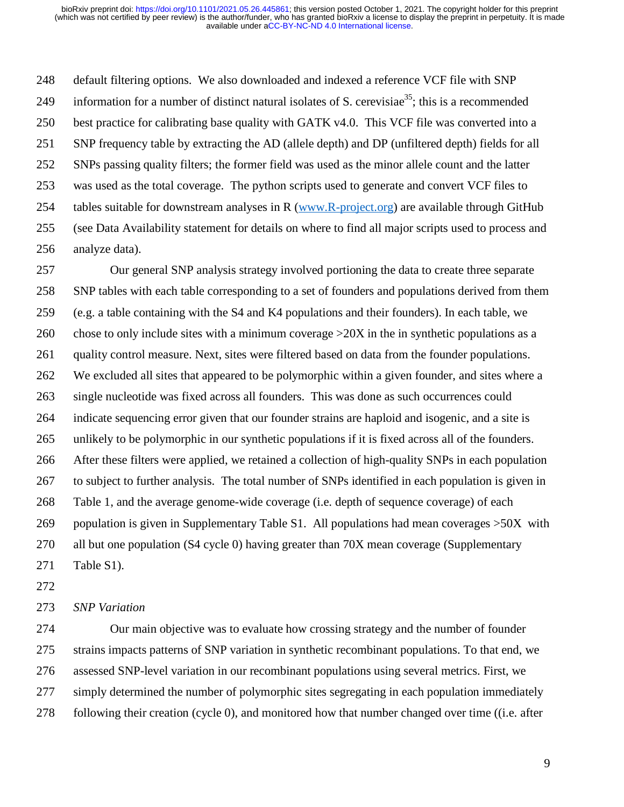248 default filtering options. We also downloaded and indexed a reference VCF file with SNP 249 information for a number of distinct natural isolates of S. cerevisiae<sup>35</sup>; this is a recommended 250 best practice for calibrating base quality with GATK v4.0. This VCF file was converted into a 251 SNP frequency table by extracting the AD (allele depth) and DP (unfiltered depth) fields for all 252 SNPs passing quality filters; the former field was used as the minor allele count and the latter 253 was used as the total coverage. The python scripts used to generate and convert VCF files to 254 tables suitable for downstream analyses in R (www.R-project.org) are available through GitHub 255 (see Data Availability statement for details on where to find all major scripts used to process and 256 analyze data).

257 Our general SNP analysis strategy involved portioning the data to create three separate 258 SNP tables with each table corresponding to a set of founders and populations derived from them 259 (e.g. a table containing with the S4 and K4 populations and their founders). In each table, we 260 chose to only include sites with a minimum coverage  $>20X$  in the in synthetic populations as a 261 quality control measure. Next, sites were filtered based on data from the founder populations. 262 We excluded all sites that appeared to be polymorphic within a given founder, and sites where a 263 single nucleotide was fixed across all founders. This was done as such occurrences could 264 indicate sequencing error given that our founder strains are haploid and isogenic, and a site is 265 unlikely to be polymorphic in our synthetic populations if it is fixed across all of the founders. 266 After these filters were applied, we retained a collection of high-quality SNPs in each population 267 to subject to further analysis. The total number of SNPs identified in each population is given in 268 Table 1, and the average genome-wide coverage (i.e. depth of sequence coverage) of each 269 population is given in Supplementary Table S1. All populations had mean coverages >50X with 270 all but one population (S4 cycle 0) having greater than 70X mean coverage (Supplementary 271 Table S1).

272

# 273 *SNP Variation*

274 Our main objective was to evaluate how crossing strategy and the number of founder 275 strains impacts patterns of SNP variation in synthetic recombinant populations. To that end, we 276 assessed SNP-level variation in our recombinant populations using several metrics. First, we 277 simply determined the number of polymorphic sites segregating in each population immediately 278 following their creation (cycle 0), and monitored how that number changed over time ((i.e. after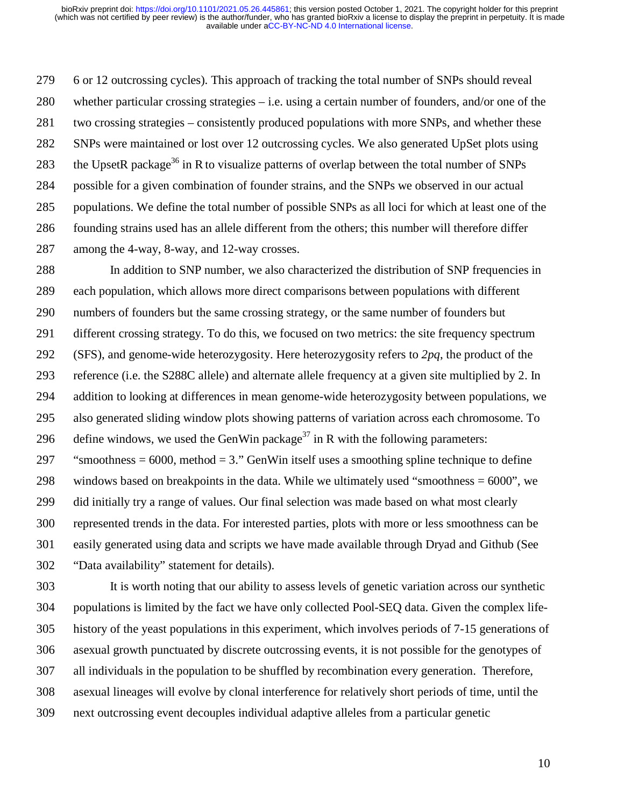279 6 or 12 outcrossing cycles). This approach of tracking the total number of SNPs should reveal 280 whether particular crossing strategies – i.e. using a certain number of founders, and/or one of the 281 two crossing strategies – consistently produced populations with more SNPs, and whether these 282 SNPs were maintained or lost over 12 outcrossing cycles. We also generated UpSet plots using 283 the UpsetR package<sup>36</sup> in R to visualize patterns of overlap between the total number of SNPs 284 possible for a given combination of founder strains, and the SNPs we observed in our actual 285 populations. We define the total number of possible SNPs as all loci for which at least one of the 286 founding strains used has an allele different from the others; this number will therefore differ 287 among the 4-way, 8-way, and 12-way crosses.

288 In addition to SNP number, we also characterized the distribution of SNP frequencies in 289 each population, which allows more direct comparisons between populations with different 290 numbers of founders but the same crossing strategy, or the same number of founders but 291 different crossing strategy. To do this, we focused on two metrics: the site frequency spectrum 292 (SFS), and genome-wide heterozygosity. Here heterozygosity refers to *2pq*, the product of the 293 reference (i.e. the S288C allele) and alternate allele frequency at a given site multiplied by 2. In 294 addition to looking at differences in mean genome-wide heterozygosity between populations, we 295 also generated sliding window plots showing patterns of variation across each chromosome. To 296 define windows, we used the GenWin package<sup>37</sup> in R with the following parameters: 297 "smoothness = 6000, method = 3." GenWin itself uses a smoothing spline technique to define 298 windows based on breakpoints in the data. While we ultimately used "smoothness = 6000", we 299 did initially try a range of values. Our final selection was made based on what most clearly 300 represented trends in the data. For interested parties, plots with more or less smoothness can be 301 easily generated using data and scripts we have made available through Dryad and Github (See 302 "Data availability" statement for details).

303 It is worth noting that our ability to assess levels of genetic variation across our synthetic 304 populations is limited by the fact we have only collected Pool-SEQ data. Given the complex life-305 history of the yeast populations in this experiment, which involves periods of 7-15 generations of 306 asexual growth punctuated by discrete outcrossing events, it is not possible for the genotypes of 307 all individuals in the population to be shuffled by recombination every generation. Therefore, 308 asexual lineages will evolve by clonal interference for relatively short periods of time, until the 309 next outcrossing event decouples individual adaptive alleles from a particular genetic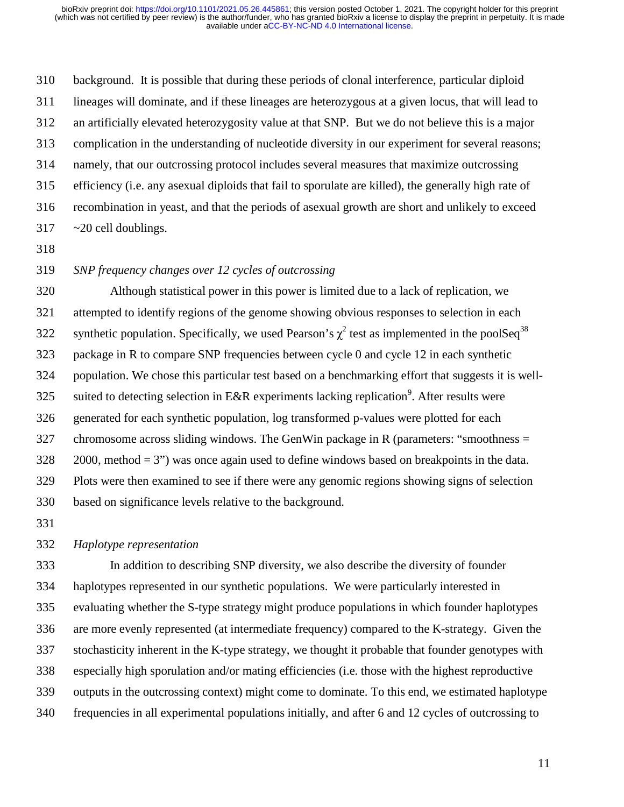310 background. It is possible that during these periods of clonal interference, particular diploid 311 lineages will dominate, and if these lineages are heterozygous at a given locus, that will lead to 312 an artificially elevated heterozygosity value at that SNP. But we do not believe this is a major 313 complication in the understanding of nucleotide diversity in our experiment for several reasons; 314 namely, that our outcrossing protocol includes several measures that maximize outcrossing 315 efficiency (i.e. any asexual diploids that fail to sporulate are killed), the generally high rate of 316 recombination in yeast, and that the periods of asexual growth are short and unlikely to exceed  $317 \sim 20$  cell doublings.

- 318
- 319 *SNP frequency changes over 12 cycles of outcrossing*

320 Although statistical power in this power is limited due to a lack of replication, we 321 attempted to identify regions of the genome showing obvious responses to selection in each 322 synthetic population. Specifically, we used Pearson's  $\chi^2$  test as implemented in the poolSeq<sup>38</sup> 323 package in R to compare SNP frequencies between cycle 0 and cycle 12 in each synthetic 324 population. We chose this particular test based on a benchmarking effort that suggests it is wellsuited to detecting selection in E&R experiments lacking replication<sup>9</sup>. After results were 326 generated for each synthetic population, log transformed p-values were plotted for each 327 chromosome across sliding windows. The GenWin package in R (parameters: "smoothness =  $328$  2000, method = 3") was once again used to define windows based on breakpoints in the data. 329 Plots were then examined to see if there were any genomic regions showing signs of selection 330 based on significance levels relative to the background.

331

# 332 *Haplotype representation*

333 In addition to describing SNP diversity, we also describe the diversity of founder 334 haplotypes represented in our synthetic populations. We were particularly interested in 335 evaluating whether the S-type strategy might produce populations in which founder haplotypes 336 are more evenly represented (at intermediate frequency) compared to the K-strategy. Given the 337 stochasticity inherent in the K-type strategy, we thought it probable that founder genotypes with 338 especially high sporulation and/or mating efficiencies (i.e. those with the highest reproductive 339 outputs in the outcrossing context) might come to dominate. To this end, we estimated haplotype 340 frequencies in all experimental populations initially, and after 6 and 12 cycles of outcrossing to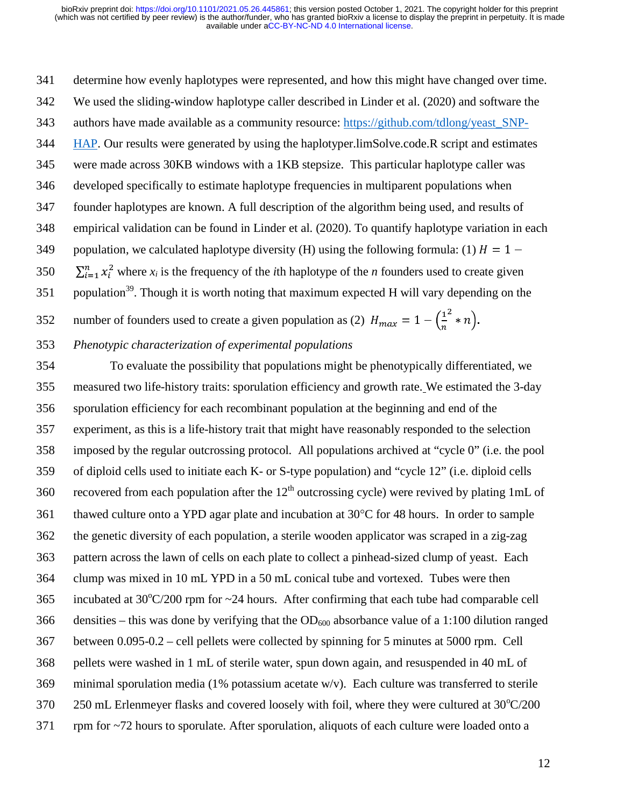341 determine how evenly haplotypes were represented, and how this might have changed over time. 342 We used the sliding-window haplotype caller described in Linder et al. (2020) and software the 343 authors have made available as a community resource: https://github.com/tdlong/yeast\_SNP-344 HAP. Our results were generated by using the haplotyper.limSolve.code.R script and estimates 345 were made across 30KB windows with a 1KB stepsize. This particular haplotype caller was 346 developed specifically to estimate haplotype frequencies in multiparent populations when 347 founder haplotypes are known. A full description of the algorithm being used, and results of 348 empirical validation can be found in Linder et al. (2020). To quantify haplotype variation in each 349 population, we calculated haplotype diversity (H) using the following formula: (1)  $H = 1 -$ 350  $\sum_{i=1}^{n} x_i^2$  where  $x_i$  is the frequency of the *i*th haplotype of the *n* founders used to create given 351 . population<sup>39</sup>. Though it is worth noting that maximum expected H will vary depending on the 352 number of founders used to create a given population as (2)  $H_{max} = 1 - \left(\frac{1}{n} * n\right)$ .  $\ddot{\phantom{0}}$ 

353 *Phenotypic characterization of experimental populations* 

354 To evaluate the possibility that populations might be phenotypically differentiated, we 355 measured two life-history traits: sporulation efficiency and growth rate. We estimated the 3-day 356 sporulation efficiency for each recombinant population at the beginning and end of the 357 experiment, as this is a life-history trait that might have reasonably responded to the selection 358 imposed by the regular outcrossing protocol. All populations archived at "cycle 0" (i.e. the pool 359 of diploid cells used to initiate each K- or S-type population) and "cycle 12" (i.e. diploid cells 360 recovered from each population after the  $12<sup>th</sup>$  outcrossing cycle) were revived by plating 1mL of 361 thawed culture onto a YPD agar plate and incubation at 30°C for 48 hours. In order to sample 362 the genetic diversity of each population, a sterile wooden applicator was scraped in a zig-zag 363 pattern across the lawn of cells on each plate to collect a pinhead-sized clump of yeast. Each 364 clump was mixed in 10 mL YPD in a 50 mL conical tube and vortexed. Tubes were then 365 incubated at  $30^{\circ}C/200$  rpm for  $\sim$  24 hours. After confirming that each tube had comparable cell 366 densities – this was done by verifying that the  $OD_{600}$  absorbance value of a 1:100 dilution ranged 367 between 0.095-0.2 – cell pellets were collected by spinning for 5 minutes at 5000 rpm. Cell 368 pellets were washed in 1 mL of sterile water, spun down again, and resuspended in 40 mL of 369 minimal sporulation media (1% potassium acetate w/v). Each culture was transferred to sterile  $250$  mL Erlenmeyer flasks and covered loosely with foil, where they were cultured at  $30^{\circ}C/200$ 371 rpm for ~72 hours to sporulate. After sporulation, aliquots of each culture were loaded onto a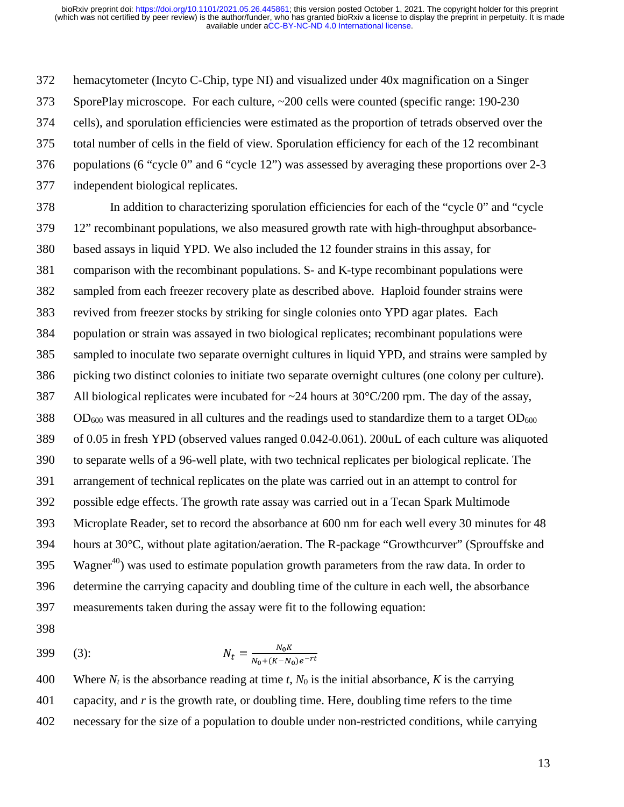372 hemacytometer (Incyto C-Chip, type NI) and visualized under 40x magnification on a Singer 373 SporePlay microscope. For each culture, ~200 cells were counted (specific range: 190-230 374 cells), and sporulation efficiencies were estimated as the proportion of tetrads observed over the 375 total number of cells in the field of view. Sporulation efficiency for each of the 12 recombinant 376 populations (6 "cycle 0" and 6 "cycle 12") was assessed by averaging these proportions over 2-3 377 independent biological replicates.

378 In addition to characterizing sporulation efficiencies for each of the "cycle 0" and "cycle 379 12" recombinant populations, we also measured growth rate with high-throughput absorbance-380 based assays in liquid YPD. We also included the 12 founder strains in this assay, for 381 comparison with the recombinant populations. S- and K-type recombinant populations were 382 sampled from each freezer recovery plate as described above. Haploid founder strains were 383 revived from freezer stocks by striking for single colonies onto YPD agar plates. Each 384 population or strain was assayed in two biological replicates; recombinant populations were 385 sampled to inoculate two separate overnight cultures in liquid YPD, and strains were sampled by 386 picking two distinct colonies to initiate two separate overnight cultures (one colony per culture). 387 All biological replicates were incubated for ~24 hours at 30°C/200 rpm. The day of the assay,  $388$  OD<sub>600</sub> was measured in all cultures and the readings used to standardize them to a target OD<sub>600</sub> 389 of 0.05 in fresh YPD (observed values ranged 0.042-0.061). 200uL of each culture was aliquoted 390 to separate wells of a 96-well plate, with two technical replicates per biological replicate. The 391 arrangement of technical replicates on the plate was carried out in an attempt to control for 392 possible edge effects. The growth rate assay was carried out in a Tecan Spark Multimode 393 Microplate Reader, set to record the absorbance at 600 nm for each well every 30 minutes for 48 394 hours at 30°C, without plate agitation/aeration. The R-package "Growthcurver" (Sprouffske and  $395$  Wagner<sup>40</sup>) was used to estimate population growth parameters from the raw data. In order to 396 determine the carrying capacity and doubling time of the culture in each well, the absorbance 397 measurements taken during the assay were fit to the following equation:

398

399 (3): 
$$
N_t = \frac{N_0 K}{N_0 + (K - N_0)e^{-rt}}
$$

400 Where  $N_t$  is the absorbance reading at time *t*,  $N_0$  is the initial absorbance, *K* is the carrying 401 capacity, and *r* is the growth rate, or doubling time. Here, doubling time refers to the time 402 necessary for the size of a population to double under non-restricted conditions, while carrying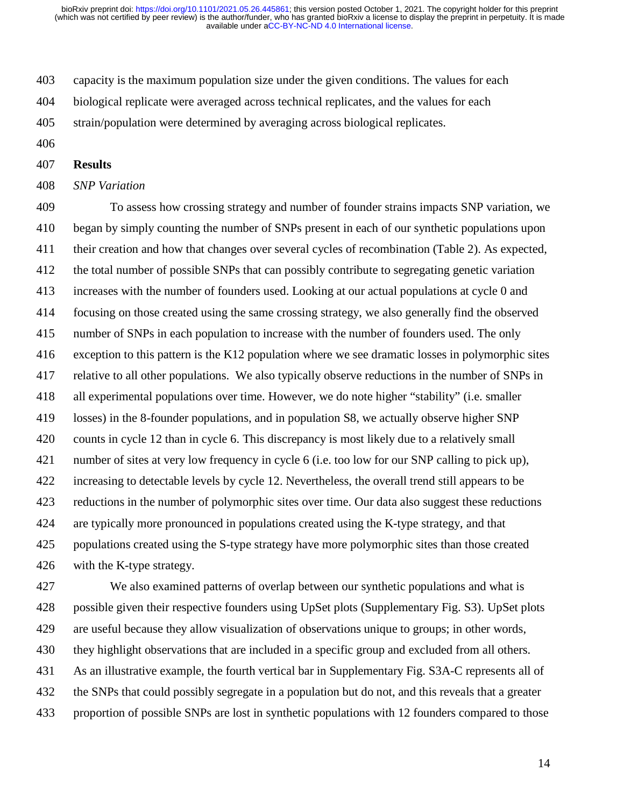403 capacity is the maximum population size under the given conditions. The values for each

404 biological replicate were averaged across technical replicates, and the values for each

405 strain/population were determined by averaging across biological replicates.

406

### 407 **Results**

### 408 *SNP Variation*

409 To assess how crossing strategy and number of founder strains impacts SNP variation, we 410 began by simply counting the number of SNPs present in each of our synthetic populations upon 411 their creation and how that changes over several cycles of recombination (Table 2). As expected, 412 the total number of possible SNPs that can possibly contribute to segregating genetic variation 413 increases with the number of founders used. Looking at our actual populations at cycle 0 and 414 focusing on those created using the same crossing strategy, we also generally find the observed 415 number of SNPs in each population to increase with the number of founders used. The only 416 exception to this pattern is the K12 population where we see dramatic losses in polymorphic sites 417 relative to all other populations. We also typically observe reductions in the number of SNPs in 418 all experimental populations over time. However, we do note higher "stability" (i.e. smaller 419 losses) in the 8-founder populations, and in population S8, we actually observe higher SNP 420 counts in cycle 12 than in cycle 6. This discrepancy is most likely due to a relatively small 421 number of sites at very low frequency in cycle 6 (i.e. too low for our SNP calling to pick up), 422 increasing to detectable levels by cycle 12. Nevertheless, the overall trend still appears to be 423 reductions in the number of polymorphic sites over time. Our data also suggest these reductions 424 are typically more pronounced in populations created using the K-type strategy, and that 425 populations created using the S-type strategy have more polymorphic sites than those created 426 with the K-type strategy.

427 We also examined patterns of overlap between our synthetic populations and what is 428 possible given their respective founders using UpSet plots (Supplementary Fig. S3). UpSet plots 429 are useful because they allow visualization of observations unique to groups; in other words, 430 they highlight observations that are included in a specific group and excluded from all others. 431 As an illustrative example, the fourth vertical bar in Supplementary Fig. S3A-C represents all of 432 the SNPs that could possibly segregate in a population but do not, and this reveals that a greater 433 proportion of possible SNPs are lost in synthetic populations with 12 founders compared to those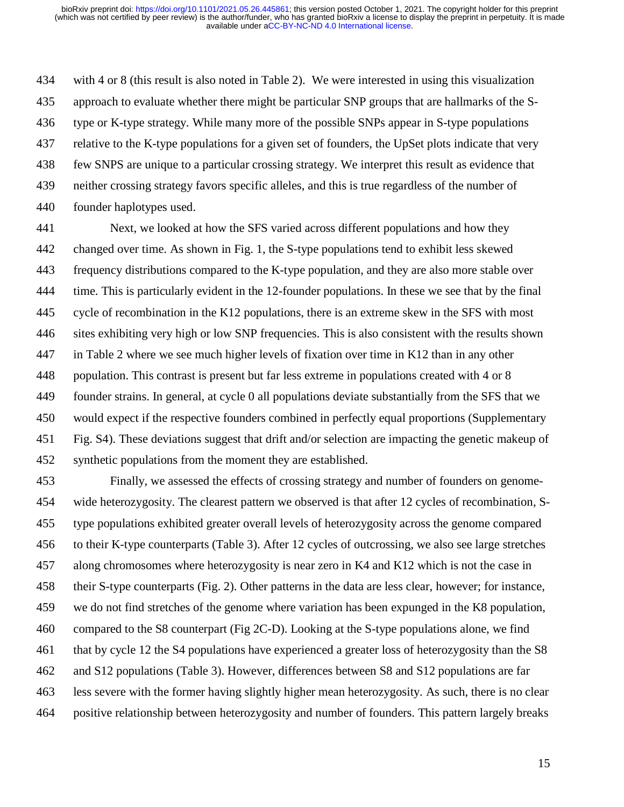434 with 4 or 8 (this result is also noted in Table 2). We were interested in using this visualization 435 approach to evaluate whether there might be particular SNP groups that are hallmarks of the S-436 type or K-type strategy. While many more of the possible SNPs appear in S-type populations 437 relative to the K-type populations for a given set of founders, the UpSet plots indicate that very 438 few SNPS are unique to a particular crossing strategy. We interpret this result as evidence that 439 neither crossing strategy favors specific alleles, and this is true regardless of the number of 440 founder haplotypes used.

441 Next, we looked at how the SFS varied across different populations and how they 442 changed over time. As shown in Fig. 1, the S-type populations tend to exhibit less skewed 443 frequency distributions compared to the K-type population, and they are also more stable over 444 time. This is particularly evident in the 12-founder populations. In these we see that by the final 445 cycle of recombination in the K12 populations, there is an extreme skew in the SFS with most 446 sites exhibiting very high or low SNP frequencies. This is also consistent with the results shown 447 in Table 2 where we see much higher levels of fixation over time in K12 than in any other 448 population. This contrast is present but far less extreme in populations created with 4 or 8 449 founder strains. In general, at cycle 0 all populations deviate substantially from the SFS that we 450 would expect if the respective founders combined in perfectly equal proportions (Supplementary 451 Fig. S4). These deviations suggest that drift and/or selection are impacting the genetic makeup of 452 synthetic populations from the moment they are established.

453 Finally, we assessed the effects of crossing strategy and number of founders on genome-454 wide heterozygosity. The clearest pattern we observed is that after 12 cycles of recombination, S-455 type populations exhibited greater overall levels of heterozygosity across the genome compared 456 to their K-type counterparts (Table 3). After 12 cycles of outcrossing, we also see large stretches 457 along chromosomes where heterozygosity is near zero in K4 and K12 which is not the case in 458 their S-type counterparts (Fig. 2). Other patterns in the data are less clear, however; for instance, 459 we do not find stretches of the genome where variation has been expunged in the K8 population, 460 compared to the S8 counterpart (Fig 2C-D). Looking at the S-type populations alone, we find 461 that by cycle 12 the S4 populations have experienced a greater loss of heterozygosity than the S8 462 and S12 populations (Table 3). However, differences between S8 and S12 populations are far 463 less severe with the former having slightly higher mean heterozygosity. As such, there is no clear 464 positive relationship between heterozygosity and number of founders. This pattern largely breaks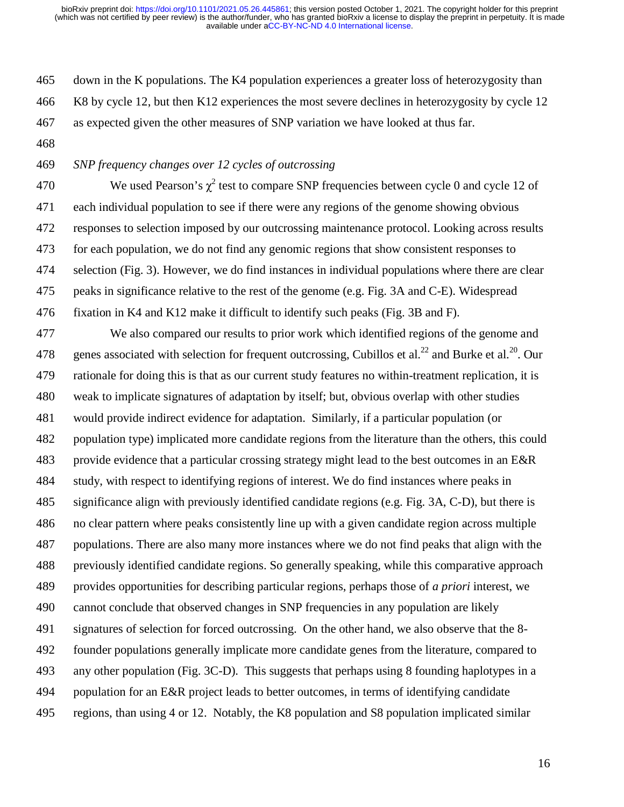465 down in the K populations. The K4 population experiences a greater loss of heterozygosity than 466 K8 by cycle 12, but then K12 experiences the most severe declines in heterozygosity by cycle 12 467 as expected given the other measures of SNP variation we have looked at thus far.

468

# 469 *SNP frequency changes over 12 cycles of outcrossing*

470 We used Pearson's  $\chi^2$  test to compare SNP frequencies between cycle 0 and cycle 12 of 471 each individual population to see if there were any regions of the genome showing obvious 472 responses to selection imposed by our outcrossing maintenance protocol. Looking across results 473 for each population, we do not find any genomic regions that show consistent responses to 474 selection (Fig. 3). However, we do find instances in individual populations where there are clear 475 peaks in significance relative to the rest of the genome (e.g. Fig. 3A and C-E). Widespread 476 fixation in K4 and K12 make it difficult to identify such peaks (Fig. 3B and F).

477 We also compared our results to prior work which identified regions of the genome and 478 genes associated with selection for frequent outcrossing, Cubillos et al.<sup>22</sup> and Burke et al.<sup>20</sup>. Our 479 rationale for doing this is that as our current study features no within-treatment replication, it is 480 weak to implicate signatures of adaptation by itself; but, obvious overlap with other studies 481 would provide indirect evidence for adaptation. Similarly, if a particular population (or 482 population type) implicated more candidate regions from the literature than the others, this could 483 provide evidence that a particular crossing strategy might lead to the best outcomes in an E&R 484 study, with respect to identifying regions of interest. We do find instances where peaks in 485 significance align with previously identified candidate regions (e.g. Fig. 3A, C-D), but there is 486 no clear pattern where peaks consistently line up with a given candidate region across multiple 487 populations. There are also many more instances where we do not find peaks that align with the 488 previously identified candidate regions. So generally speaking, while this comparative approach 489 provides opportunities for describing particular regions, perhaps those of *a priori* interest, we 490 cannot conclude that observed changes in SNP frequencies in any population are likely 491 signatures of selection for forced outcrossing. On the other hand, we also observe that the 8- 492 founder populations generally implicate more candidate genes from the literature, compared to 493 any other population (Fig. 3C-D). This suggests that perhaps using 8 founding haplotypes in a 494 population for an E&R project leads to better outcomes, in terms of identifying candidate 495 regions, than using 4 or 12. Notably, the K8 population and S8 population implicated similar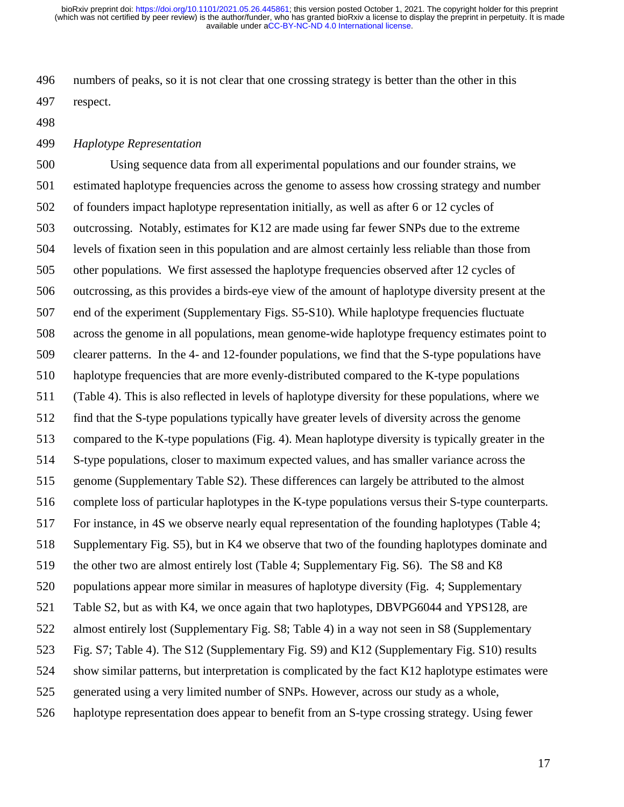496 numbers of peaks, so it is not clear that one crossing strategy is better than the other in this 497 respect.

498

### 499 *Haplotype Representation*

500 Using sequence data from all experimental populations and our founder strains, we 501 estimated haplotype frequencies across the genome to assess how crossing strategy and number 502 of founders impact haplotype representation initially, as well as after 6 or 12 cycles of 503 outcrossing. Notably, estimates for K12 are made using far fewer SNPs due to the extreme 504 levels of fixation seen in this population and are almost certainly less reliable than those from 505 other populations. We first assessed the haplotype frequencies observed after 12 cycles of 506 outcrossing, as this provides a birds-eye view of the amount of haplotype diversity present at the 507 end of the experiment (Supplementary Figs. S5-S10). While haplotype frequencies fluctuate 508 across the genome in all populations, mean genome-wide haplotype frequency estimates point to 509 clearer patterns. In the 4- and 12-founder populations, we find that the S-type populations have 510 haplotype frequencies that are more evenly-distributed compared to the K-type populations 511 (Table 4). This is also reflected in levels of haplotype diversity for these populations, where we 512 find that the S-type populations typically have greater levels of diversity across the genome 513 compared to the K-type populations (Fig. 4). Mean haplotype diversity is typically greater in the 514 S-type populations, closer to maximum expected values, and has smaller variance across the 515 genome (Supplementary Table S2). These differences can largely be attributed to the almost 516 complete loss of particular haplotypes in the K-type populations versus their S-type counterparts. 517 For instance, in 4S we observe nearly equal representation of the founding haplotypes (Table 4; 518 Supplementary Fig. S5), but in K4 we observe that two of the founding haplotypes dominate and 519 the other two are almost entirely lost (Table 4; Supplementary Fig. S6). The S8 and K8 520 populations appear more similar in measures of haplotype diversity (Fig. 4; Supplementary 521 Table S2, but as with K4, we once again that two haplotypes, DBVPG6044 and YPS128, are 522 almost entirely lost (Supplementary Fig. S8; Table 4) in a way not seen in S8 (Supplementary 523 Fig. S7; Table 4). The S12 (Supplementary Fig. S9) and K12 (Supplementary Fig. S10) results 524 show similar patterns, but interpretation is complicated by the fact K12 haplotype estimates were 525 generated using a very limited number of SNPs. However, across our study as a whole, 526 haplotype representation does appear to benefit from an S-type crossing strategy. Using fewer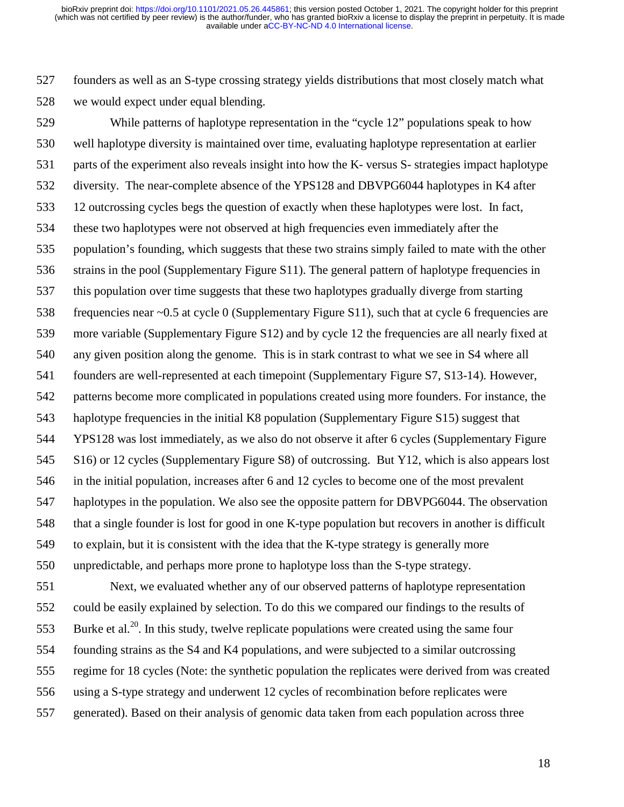527 founders as well as an S-type crossing strategy yields distributions that most closely match what 528 we would expect under equal blending.

529 While patterns of haplotype representation in the "cycle 12" populations speak to how 530 well haplotype diversity is maintained over time, evaluating haplotype representation at earlier 531 parts of the experiment also reveals insight into how the K- versus S- strategies impact haplotype 532 diversity. The near-complete absence of the YPS128 and DBVPG6044 haplotypes in K4 after 533 12 outcrossing cycles begs the question of exactly when these haplotypes were lost. In fact, 534 these two haplotypes were not observed at high frequencies even immediately after the 535 population's founding, which suggests that these two strains simply failed to mate with the other 536 strains in the pool (Supplementary Figure S11). The general pattern of haplotype frequencies in 537 this population over time suggests that these two haplotypes gradually diverge from starting 538 frequencies near ~0.5 at cycle 0 (Supplementary Figure S11), such that at cycle 6 frequencies are 539 more variable (Supplementary Figure S12) and by cycle 12 the frequencies are all nearly fixed at 540 any given position along the genome. This is in stark contrast to what we see in S4 where all 541 founders are well-represented at each timepoint (Supplementary Figure S7, S13-14). However, 542 patterns become more complicated in populations created using more founders. For instance, the 543 haplotype frequencies in the initial K8 population (Supplementary Figure S15) suggest that 544 YPS128 was lost immediately, as we also do not observe it after 6 cycles (Supplementary Figure 545 S16) or 12 cycles (Supplementary Figure S8) of outcrossing. But Y12, which is also appears lost 546 in the initial population, increases after 6 and 12 cycles to become one of the most prevalent 547 haplotypes in the population. We also see the opposite pattern for DBVPG6044. The observation 548 that a single founder is lost for good in one K-type population but recovers in another is difficult 549 to explain, but it is consistent with the idea that the K-type strategy is generally more 550 unpredictable, and perhaps more prone to haplotype loss than the S-type strategy.

551 Next, we evaluated whether any of our observed patterns of haplotype representation 552 could be easily explained by selection. To do this we compared our findings to the results of 553 Burke et al.<sup>20</sup>. In this study, twelve replicate populations were created using the same four 554 founding strains as the S4 and K4 populations, and were subjected to a similar outcrossing 555 regime for 18 cycles (Note: the synthetic population the replicates were derived from was created 556 using a S-type strategy and underwent 12 cycles of recombination before replicates were 557 generated). Based on their analysis of genomic data taken from each population across three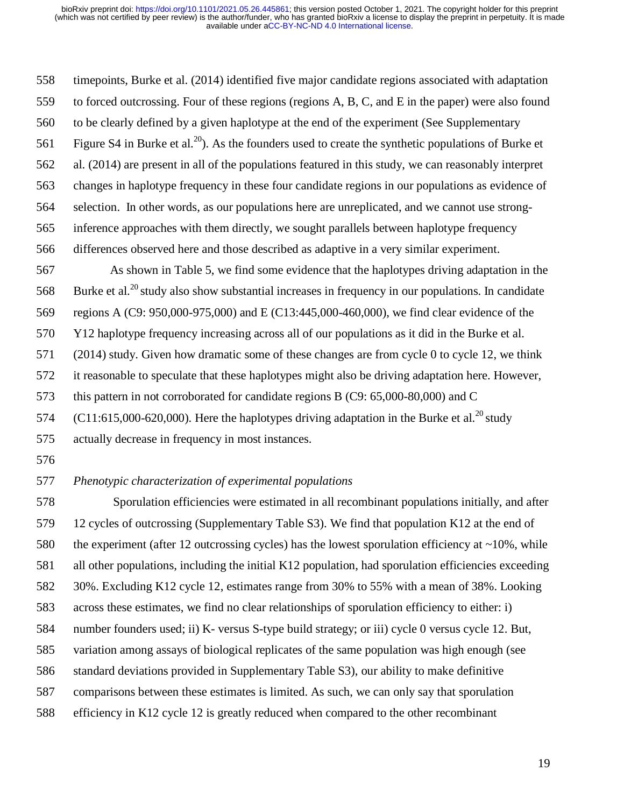558 timepoints, Burke et al. (2014) identified five major candidate regions associated with adaptation 559 to forced outcrossing. Four of these regions (regions A, B, C, and E in the paper) were also found 560 to be clearly defined by a given haplotype at the end of the experiment (See Supplementary 561 Figure S4 in Burke et al.<sup>20</sup>). As the founders used to create the synthetic populations of Burke et 562 al. (2014) are present in all of the populations featured in this study, we can reasonably interpret 563 changes in haplotype frequency in these four candidate regions in our populations as evidence of 564 selection. In other words, as our populations here are unreplicated, and we cannot use strong-565 inference approaches with them directly, we sought parallels between haplotype frequency 566 differences observed here and those described as adaptive in a very similar experiment.

567 As shown in Table 5, we find some evidence that the haplotypes driving adaptation in the 568 Burke et al.<sup>20</sup> study also show substantial increases in frequency in our populations. In candidate 569 regions A (C9: 950,000-975,000) and E (C13:445,000-460,000), we find clear evidence of the 570 Y12 haplotype frequency increasing across all of our populations as it did in the Burke et al. 571 (2014) study. Given how dramatic some of these changes are from cycle 0 to cycle 12, we think

572 it reasonable to speculate that these haplotypes might also be driving adaptation here. However,

573 this pattern in not corroborated for candidate regions B (C9: 65,000-80,000) and C

 $574$  (C11:615,000-620,000). Here the haplotypes driving adaptation in the Burke et al.<sup>20</sup> study

575 actually decrease in frequency in most instances.

576

# 577 *Phenotypic characterization of experimental populations*

578 Sporulation efficiencies were estimated in all recombinant populations initially, and after 579 12 cycles of outcrossing (Supplementary Table S3). We find that population K12 at the end of 580 the experiment (after 12 outcrossing cycles) has the lowest sporulation efficiency at  $\sim$ 10%, while 581 all other populations, including the initial K12 population, had sporulation efficiencies exceeding 582 30%. Excluding K12 cycle 12, estimates range from 30% to 55% with a mean of 38%. Looking 583 across these estimates, we find no clear relationships of sporulation efficiency to either: i) 584 number founders used; ii) K- versus S-type build strategy; or iii) cycle 0 versus cycle 12. But, 585 variation among assays of biological replicates of the same population was high enough (see 586 standard deviations provided in Supplementary Table S3), our ability to make definitive 587 comparisons between these estimates is limited. As such, we can only say that sporulation 588 efficiency in K12 cycle 12 is greatly reduced when compared to the other recombinant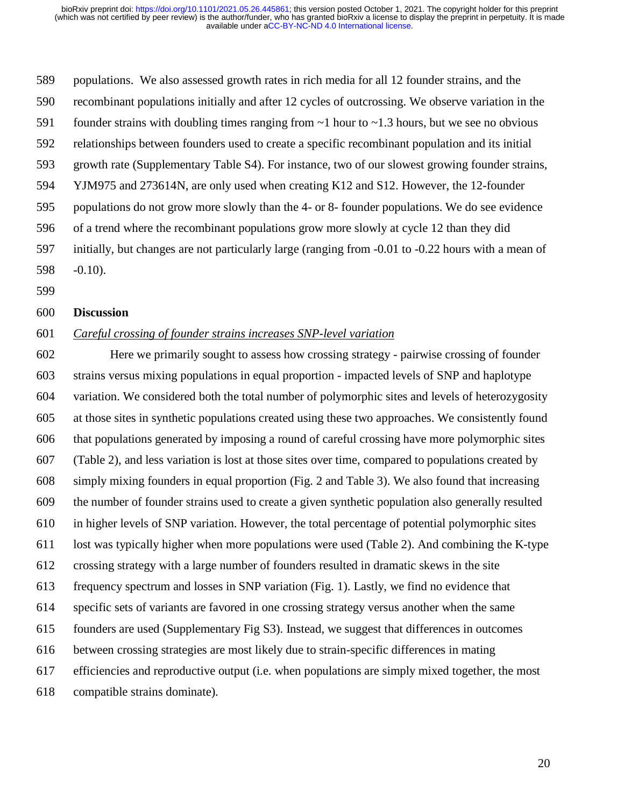589 populations. We also assessed growth rates in rich media for all 12 founder strains, and the 590 recombinant populations initially and after 12 cycles of outcrossing. We observe variation in the 591 founder strains with doubling times ranging from  $\sim$ 1 hour to  $\sim$ 1.3 hours, but we see no obvious 592 relationships between founders used to create a specific recombinant population and its initial 593 growth rate (Supplementary Table S4). For instance, two of our slowest growing founder strains, 594 YJM975 and 273614N, are only used when creating K12 and S12. However, the 12-founder 595 populations do not grow more slowly than the 4- or 8- founder populations. We do see evidence 596 of a trend where the recombinant populations grow more slowly at cycle 12 than they did 597 initially, but changes are not particularly large (ranging from -0.01 to -0.22 hours with a mean of 598 -0.10).

599

#### 600 **Discussion**

#### 601 *Careful crossing of founder strains increases SNP-level variation*

602 Here we primarily sought to assess how crossing strategy - pairwise crossing of founder 603 strains versus mixing populations in equal proportion - impacted levels of SNP and haplotype 604 variation. We considered both the total number of polymorphic sites and levels of heterozygosity 605 at those sites in synthetic populations created using these two approaches. We consistently found 606 that populations generated by imposing a round of careful crossing have more polymorphic sites 607 (Table 2), and less variation is lost at those sites over time, compared to populations created by 608 simply mixing founders in equal proportion (Fig. 2 and Table 3). We also found that increasing 609 the number of founder strains used to create a given synthetic population also generally resulted 610 in higher levels of SNP variation. However, the total percentage of potential polymorphic sites 611 lost was typically higher when more populations were used (Table 2). And combining the K-type 612 crossing strategy with a large number of founders resulted in dramatic skews in the site 613 frequency spectrum and losses in SNP variation (Fig. 1). Lastly, we find no evidence that 614 specific sets of variants are favored in one crossing strategy versus another when the same 615 founders are used (Supplementary Fig S3). Instead, we suggest that differences in outcomes 616 between crossing strategies are most likely due to strain-specific differences in mating 617 efficiencies and reproductive output (i.e. when populations are simply mixed together, the most 618 compatible strains dominate).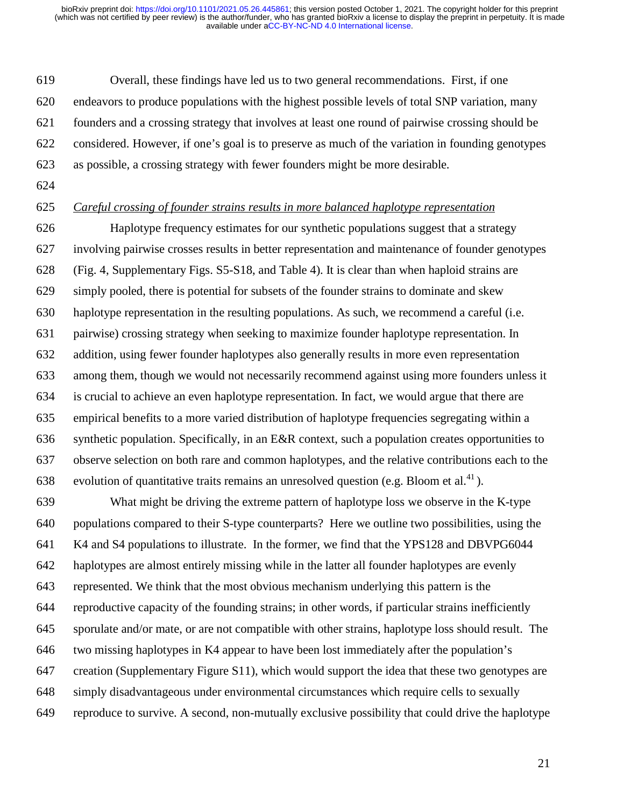619 Overall, these findings have led us to two general recommendations. First, if one 620 endeavors to produce populations with the highest possible levels of total SNP variation, many 621 founders and a crossing strategy that involves at least one round of pairwise crossing should be 622 considered. However, if one's goal is to preserve as much of the variation in founding genotypes 623 as possible, a crossing strategy with fewer founders might be more desirable.

624

#### 625 *Careful crossing of founder strains results in more balanced haplotype representation*

626 Haplotype frequency estimates for our synthetic populations suggest that a strategy 627 involving pairwise crosses results in better representation and maintenance of founder genotypes 628 (Fig. 4, Supplementary Figs. S5-S18, and Table 4). It is clear than when haploid strains are 629 simply pooled, there is potential for subsets of the founder strains to dominate and skew 630 haplotype representation in the resulting populations. As such, we recommend a careful (i.e. 631 pairwise) crossing strategy when seeking to maximize founder haplotype representation. In 632 addition, using fewer founder haplotypes also generally results in more even representation 633 among them, though we would not necessarily recommend against using more founders unless it 634 is crucial to achieve an even haplotype representation. In fact, we would argue that there are 635 empirical benefits to a more varied distribution of haplotype frequencies segregating within a 636 synthetic population. Specifically, in an E&R context, such a population creates opportunities to 637 observe selection on both rare and common haplotypes, and the relative contributions each to the 638 evolution of quantitative traits remains an unresolved question (e.g. Bloom et al.<sup>41</sup>).

639 What might be driving the extreme pattern of haplotype loss we observe in the K-type 640 populations compared to their S-type counterparts? Here we outline two possibilities, using the 641 K4 and S4 populations to illustrate. In the former, we find that the YPS128 and DBVPG6044 642 haplotypes are almost entirely missing while in the latter all founder haplotypes are evenly 643 represented. We think that the most obvious mechanism underlying this pattern is the 644 reproductive capacity of the founding strains; in other words, if particular strains inefficiently 645 sporulate and/or mate, or are not compatible with other strains, haplotype loss should result. The 646 two missing haplotypes in K4 appear to have been lost immediately after the population's 647 creation (Supplementary Figure S11), which would support the idea that these two genotypes are 648 simply disadvantageous under environmental circumstances which require cells to sexually 649 reproduce to survive. A second, non-mutually exclusive possibility that could drive the haplotype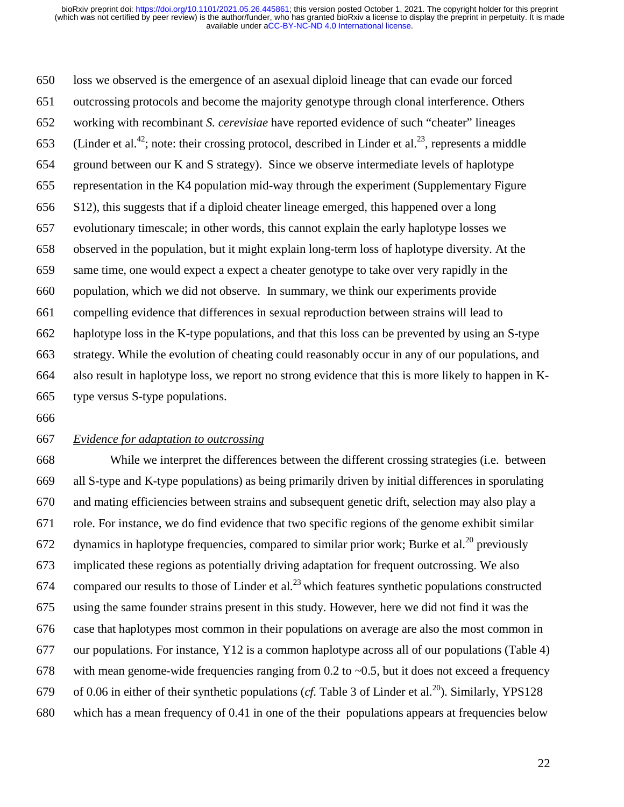650 loss we observed is the emergence of an asexual diploid lineage that can evade our forced 651 outcrossing protocols and become the majority genotype through clonal interference. Others 652 working with recombinant *S. cerevisiae* have reported evidence of such "cheater" lineages 653 (Linder et al.<sup>42</sup>; note: their crossing protocol, described in Linder et al.<sup>23</sup>, represents a middle 654 ground between our K and S strategy). Since we observe intermediate levels of haplotype 655 representation in the K4 population mid-way through the experiment (Supplementary Figure 656 S12), this suggests that if a diploid cheater lineage emerged, this happened over a long 657 evolutionary timescale; in other words, this cannot explain the early haplotype losses we 658 observed in the population, but it might explain long-term loss of haplotype diversity. At the 659 same time, one would expect a expect a cheater genotype to take over very rapidly in the 660 population, which we did not observe. In summary, we think our experiments provide 661 compelling evidence that differences in sexual reproduction between strains will lead to 662 haplotype loss in the K-type populations, and that this loss can be prevented by using an S-type 663 strategy. While the evolution of cheating could reasonably occur in any of our populations, and 664 also result in haplotype loss, we report no strong evidence that this is more likely to happen in K-665 type versus S-type populations.

666

# 667 *Evidence for adaptation to outcrossing*

668 While we interpret the differences between the different crossing strategies (i.e. between 669 all S-type and K-type populations) as being primarily driven by initial differences in sporulating 670 and mating efficiencies between strains and subsequent genetic drift, selection may also play a 671 role. For instance, we do find evidence that two specific regions of the genome exhibit similar 672 dynamics in haplotype frequencies, compared to similar prior work; Burke et al.<sup>20</sup> previously 673 implicated these regions as potentially driving adaptation for frequent outcrossing. We also 674 compared our results to those of Linder et al.<sup>23</sup> which features synthetic populations constructed 675 using the same founder strains present in this study. However, here we did not find it was the 676 case that haplotypes most common in their populations on average are also the most common in 677 our populations. For instance, Y12 is a common haplotype across all of our populations (Table 4) 678 with mean genome-wide frequencies ranging from  $0.2$  to  $\sim 0.5$ , but it does not exceed a frequency 679 of 0.06 in either of their synthetic populations (*cf.* Table 3 of Linder et al.<sup>20</sup>). Similarly, YPS128 680 which has a mean frequency of 0.41 in one of the their populations appears at frequencies below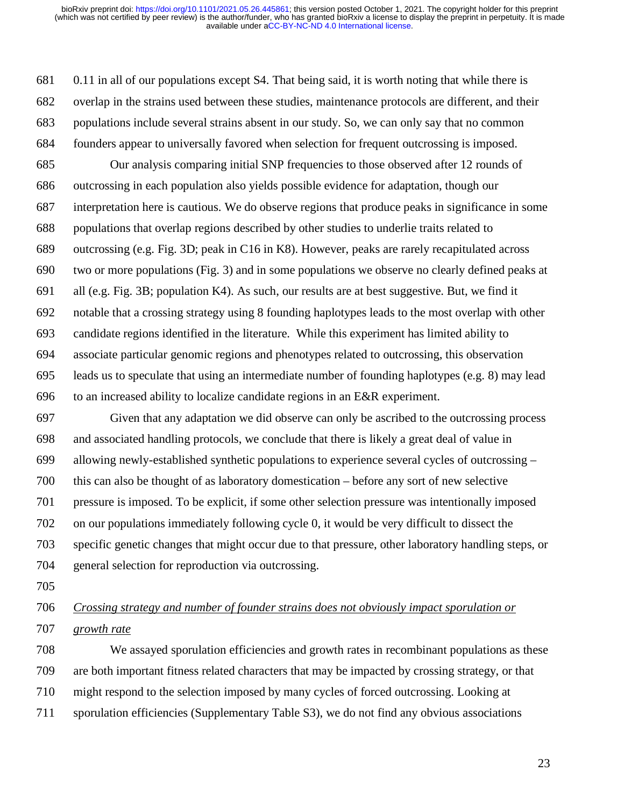681 0.11 in all of our populations except S4. That being said, it is worth noting that while there is 682 overlap in the strains used between these studies, maintenance protocols are different, and their 683 populations include several strains absent in our study. So, we can only say that no common 684 founders appear to universally favored when selection for frequent outcrossing is imposed.

685 Our analysis comparing initial SNP frequencies to those observed after 12 rounds of 686 outcrossing in each population also yields possible evidence for adaptation, though our 687 interpretation here is cautious. We do observe regions that produce peaks in significance in some 688 populations that overlap regions described by other studies to underlie traits related to 689 outcrossing (e.g. Fig. 3D; peak in C16 in K8). However, peaks are rarely recapitulated across 690 two or more populations (Fig. 3) and in some populations we observe no clearly defined peaks at 691 all (e.g. Fig. 3B; population K4). As such, our results are at best suggestive. But, we find it 692 notable that a crossing strategy using 8 founding haplotypes leads to the most overlap with other 693 candidate regions identified in the literature. While this experiment has limited ability to 694 associate particular genomic regions and phenotypes related to outcrossing, this observation 695 leads us to speculate that using an intermediate number of founding haplotypes (e.g. 8) may lead 696 to an increased ability to localize candidate regions in an E&R experiment.

697 Given that any adaptation we did observe can only be ascribed to the outcrossing process 698 and associated handling protocols, we conclude that there is likely a great deal of value in 699 allowing newly-established synthetic populations to experience several cycles of outcrossing – 700 this can also be thought of as laboratory domestication – before any sort of new selective 701 pressure is imposed. To be explicit, if some other selection pressure was intentionally imposed 702 on our populations immediately following cycle 0, it would be very difficult to dissect the 703 specific genetic changes that might occur due to that pressure, other laboratory handling steps, or 704 general selection for reproduction via outcrossing.

705

# 706 *Crossing strategy and number of founder strains does not obviously impact sporulation or*  707 *growth rate*

708 We assayed sporulation efficiencies and growth rates in recombinant populations as these 709 are both important fitness related characters that may be impacted by crossing strategy, or that 710 might respond to the selection imposed by many cycles of forced outcrossing. Looking at 711 sporulation efficiencies (Supplementary Table S3), we do not find any obvious associations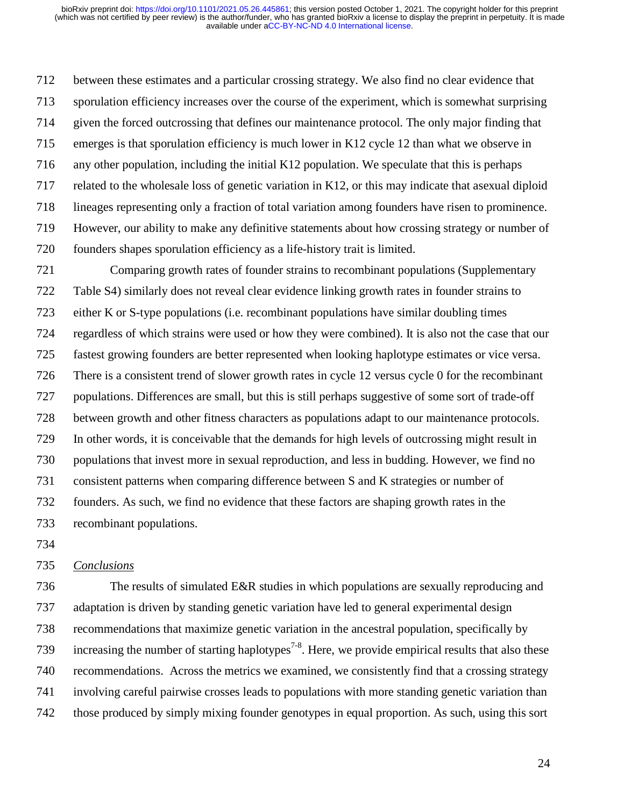712 between these estimates and a particular crossing strategy. We also find no clear evidence that 713 sporulation efficiency increases over the course of the experiment, which is somewhat surprising 714 given the forced outcrossing that defines our maintenance protocol. The only major finding that 715 emerges is that sporulation efficiency is much lower in K12 cycle 12 than what we observe in 716 any other population, including the initial K12 population. We speculate that this is perhaps 717 related to the wholesale loss of genetic variation in K12, or this may indicate that asexual diploid 718 lineages representing only a fraction of total variation among founders have risen to prominence. 719 However, our ability to make any definitive statements about how crossing strategy or number of 720 founders shapes sporulation efficiency as a life-history trait is limited.

721 Comparing growth rates of founder strains to recombinant populations (Supplementary 722 Table S4) similarly does not reveal clear evidence linking growth rates in founder strains to 723 either K or S-type populations (i.e. recombinant populations have similar doubling times 724 regardless of which strains were used or how they were combined). It is also not the case that our 725 fastest growing founders are better represented when looking haplotype estimates or vice versa. 726 There is a consistent trend of slower growth rates in cycle 12 versus cycle 0 for the recombinant 727 populations. Differences are small, but this is still perhaps suggestive of some sort of trade-off 728 between growth and other fitness characters as populations adapt to our maintenance protocols. 729 In other words, it is conceivable that the demands for high levels of outcrossing might result in 730 populations that invest more in sexual reproduction, and less in budding. However, we find no 731 consistent patterns when comparing difference between S and K strategies or number of 732 founders. As such, we find no evidence that these factors are shaping growth rates in the 733 recombinant populations.

734

#### 735 *Conclusions*

736 The results of simulated E&R studies in which populations are sexually reproducing and 737 adaptation is driven by standing genetic variation have led to general experimental design 738 recommendations that maximize genetic variation in the ancestral population, specifically by increasing the number of starting haplotypes<sup> $7-8$ </sup>. Here, we provide empirical results that also these 740 recommendations. Across the metrics we examined, we consistently find that a crossing strategy 741 involving careful pairwise crosses leads to populations with more standing genetic variation than 742 those produced by simply mixing founder genotypes in equal proportion. As such, using this sort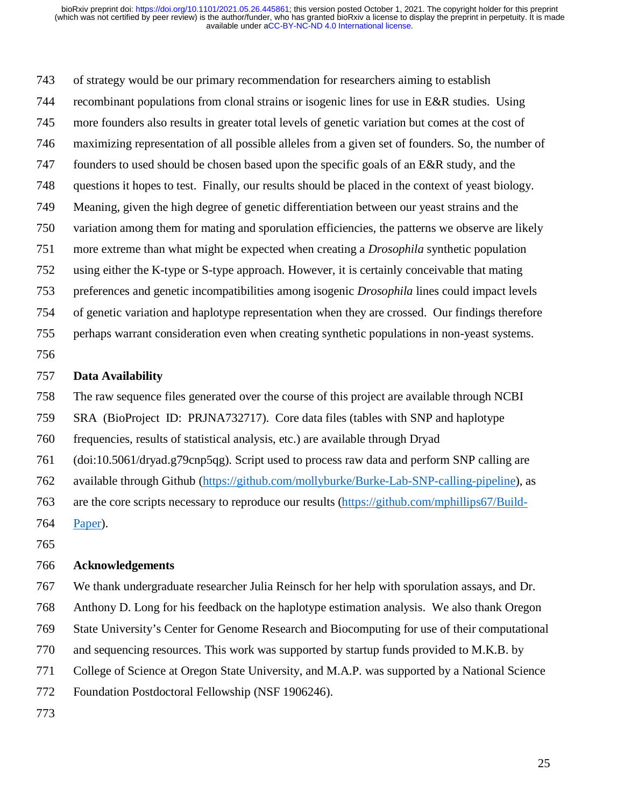743 of strategy would be our primary recommendation for researchers aiming to establish 744 recombinant populations from clonal strains or isogenic lines for use in E&R studies. Using 745 more founders also results in greater total levels of genetic variation but comes at the cost of 746 maximizing representation of all possible alleles from a given set of founders. So, the number of 747 founders to used should be chosen based upon the specific goals of an E&R study, and the 748 questions it hopes to test. Finally, our results should be placed in the context of yeast biology. 749 Meaning, given the high degree of genetic differentiation between our yeast strains and the 750 variation among them for mating and sporulation efficiencies, the patterns we observe are likely 751 more extreme than what might be expected when creating a *Drosophila* synthetic population 752 using either the K-type or S-type approach. However, it is certainly conceivable that mating 753 preferences and genetic incompatibilities among isogenic *Drosophila* lines could impact levels 754 of genetic variation and haplotype representation when they are crossed. Our findings therefore 755 perhaps warrant consideration even when creating synthetic populations in non-yeast systems. 756

# 757 **Data Availability**

758 The raw sequence files generated over the course of this project are available through NCBI

759 SRA (BioProject ID: PRJNA732717). Core data files (tables with SNP and haplotype

760 frequencies, results of statistical analysis, etc.) are available through Dryad

761 (doi:10.5061/dryad.g79cnp5qg). Script used to process raw data and perform SNP calling are

762 available through Github (https://github.com/mollyburke/Burke-Lab-SNP-calling-pipeline), as

763 are the core scripts necessary to reproduce our results (https://github.com/mphillips67/Build-

764 Paper).

765

## 766 **Acknowledgements**

767 We thank undergraduate researcher Julia Reinsch for her help with sporulation assays, and Dr.

768 Anthony D. Long for his feedback on the haplotype estimation analysis. We also thank Oregon

769 State University's Center for Genome Research and Biocomputing for use of their computational

- 770 and sequencing resources. This work was supported by startup funds provided to M.K.B. by
- 771 College of Science at Oregon State University, and M.A.P. was supported by a National Science

772 Foundation Postdoctoral Fellowship (NSF 1906246).

773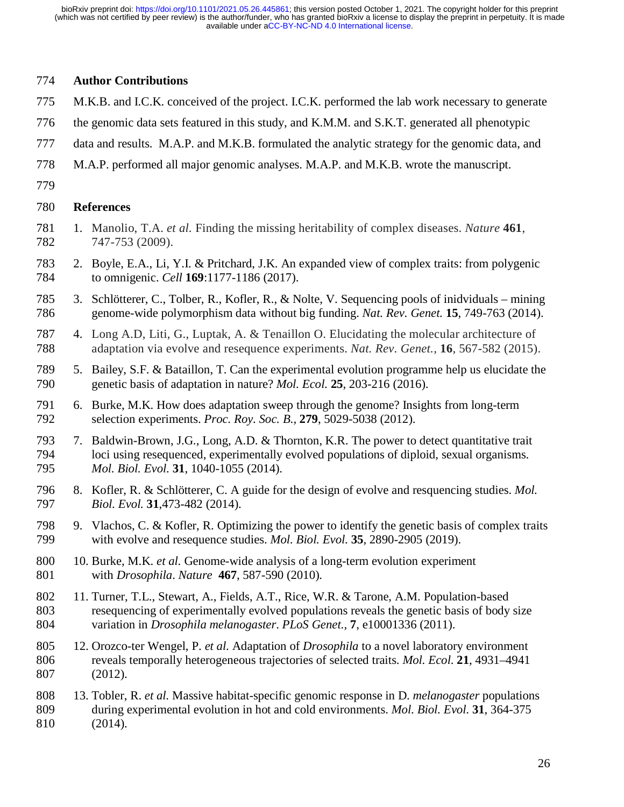# 774 **Author Contributions**

- 775 M.K.B. and I.C.K. conceived of the project. I.C.K. performed the lab work necessary to generate
- 776 the genomic data sets featured in this study, and K.M.M. and S.K.T. generated all phenotypic
- 777 data and results. M.A.P. and M.K.B. formulated the analytic strategy for the genomic data, and
- 778 M.A.P. performed all major genomic analyses. M.A.P. and M.K.B. wrote the manuscript.
- 779

# 780 **References**

- 781 1. Manolio, T.A. *et al.* Finding the missing heritability of complex diseases. *Nature* **461**, 782 747-753 (2009).
- 783 2. Boyle, E.A., Li, Y.I. & Pritchard, J.K. An expanded view of complex traits: from polygenic 784 to omnigenic. *Cell* **169**:1177-1186 (2017).
- 785 3. Schlötterer, C., Tolber, R., Kofler, R., & Nolte, V. Sequencing pools of inidviduals mining 786 genome-wide polymorphism data without big funding. *Nat. Rev. Genet.* **15**, 749-763 (2014).
- 787 4. Long A.D, Liti, G., Luptak, A. & Tenaillon O. Elucidating the molecular architecture of 788 adaptation via evolve and resequence experiments. *Nat. Rev. Genet.,* **16**, 567-582 (2015).
- 789 5. Bailey, S.F. & Bataillon, T. Can the experimental evolution programme help us elucidate the 790 genetic basis of adaptation in nature? *Mol. Ecol.* **25**, 203-216 (2016).
- 791 6. Burke, M.K. How does adaptation sweep through the genome? Insights from long-term 792 selection experiments. *Proc. Roy. Soc. B.,* **279**, 5029-5038 (2012).
- 793 7. Baldwin-Brown, J.G., Long, A.D. & Thornton, K.R. The power to detect quantitative trait 794 loci using resequenced, experimentally evolved populations of diploid, sexual organisms. 795 *Mol. Biol. Evol.* **31**, 1040-1055 (2014).
- 796 8. Kofler, R. & Schlötterer, C. A guide for the design of evolve and resquencing studies. *Mol.*  797 *Biol. Evol.* **31**,473-482 (2014).
- 798 9. Vlachos, C. & Kofler, R. Optimizing the power to identify the genetic basis of complex traits 799 with evolve and resequence studies. *Mol. Biol. Evol.* **35**, 2890-2905 (2019).
- 800 10. Burke, M.K. *et al.* Genome-wide analysis of a long-term evolution experiment 801 with *Drosophila*. *Nature* **467**, 587-590 (2010).
- 802 11. Turner, T.L., Stewart, A., Fields, A.T., Rice, W.R. & Tarone, A.M. Population-based 803 resequencing of experimentally evolved populations reveals the genetic basis of body size 804 variation in *Drosophila melanogaster*. *PLoS Genet.,* **7**, e10001336 (2011).
- 805 12. Orozco-ter Wengel, P. *et al.* Adaptation of *Drosophila* to a novel laboratory environment 806 reveals temporally heterogeneous trajectories of selected traits. *Mol. Ecol.* **21**, 4931–4941 807 (2012).
- 808 13. Tobler, R. *et al.* Massive habitat-specific genomic response in D. *melanogaster* populations 809 during experimental evolution in hot and cold environments. *Mol. Biol. Evol.* **31**, 364-375 810 (2014).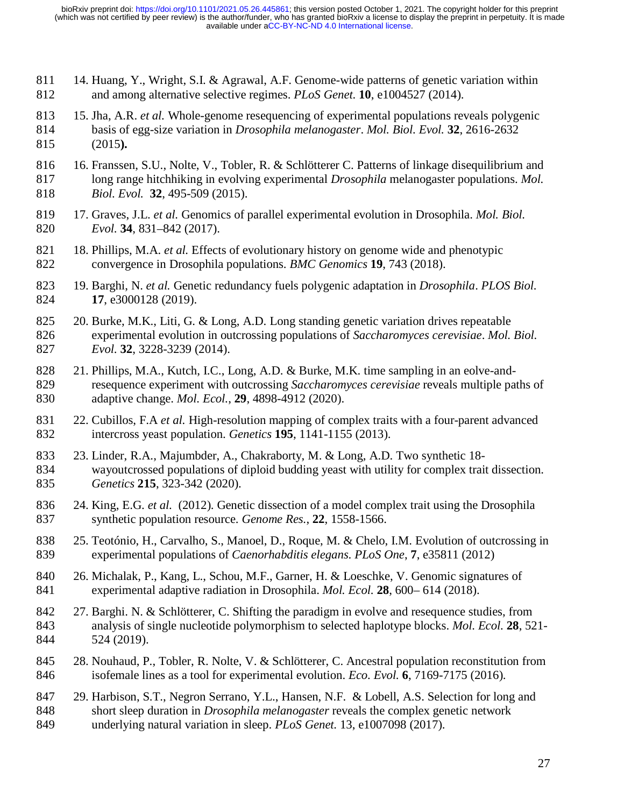- 811 14. Huang, Y., Wright, S.I. & Agrawal, A.F. Genome-wide patterns of genetic variation within 812 and among alternative selective regimes. *PLoS Genet.* **10**, e1004527 (2014).
- 813 15. Jha, A.R. *et al.* Whole-genome resequencing of experimental populations reveals polygenic 814 basis of egg-size variation in *Drosophila melanogaster*. *Mol. Biol. Evol.* **32**, 2616-2632 815 (2015**).**
- 816 16. Franssen, S.U., Nolte, V., Tobler, R. & Schlötterer C. Patterns of linkage disequilibrium and 817 long range hitchhiking in evolving experimental *Drosophila* melanogaster populations. *Mol.*  818 *Biol. Evol.* **32**, 495-509 (2015).
- 819 17. Graves, J.L. *et al.* Genomics of parallel experimental evolution in Drosophila. *Mol. Biol.*  820 *Evol.* **34**, 831–842 (2017).
- 821 18. Phillips, M.A. *et al.* Effects of evolutionary history on genome wide and phenotypic 822 convergence in Drosophila populations. *BMC Genomics* **19**, 743 (2018).
- 823 19. Barghi, N. *et al.* Genetic redundancy fuels polygenic adaptation in *Drosophila*. *PLOS Biol.* 824 **17**, e3000128 (2019).
- 825 20. Burke, M.K., Liti, G. & Long, A.D. Long standing genetic variation drives repeatable 826 experimental evolution in outcrossing populations of *Saccharomyces cerevisiae*. *Mol. Biol.*  827 *Evol.* **32**, 3228-3239 (2014).
- 828 21. Phillips, M.A., Kutch, I.C., Long, A.D. & Burke, M.K. time sampling in an eolve-and-829 resequence experiment with outcrossing *Saccharomyces cerevisiae* reveals multiple paths of 830 adaptive change. *Mol. Ecol.*, **29**, 4898-4912 (2020).
- 831 22. Cubillos, F.A *et al.* High-resolution mapping of complex traits with a four-parent advanced 832 intercross yeast population. *Genetics* **195**, 1141-1155 (2013).
- 833 23. Linder, R.A., Majumbder, A., Chakraborty, M. & Long, A.D. Two synthetic 18- 834 wayoutcrossed populations of diploid budding yeast with utility for complex trait dissection. 835 *Genetics* **215**, 323-342 (2020).
- 836 24. King, E.G. *et al.* (2012). Genetic dissection of a model complex trait using the Drosophila 837 synthetic population resource. *Genome Res.*, **22**, 1558-1566.
- 838 25. Teotónio, H., Carvalho, S., Manoel, D., Roque, M. & Chelo, I.M. Evolution of outcrossing in 839 experimental populations of *Caenorhabditis elegans*. *PLoS One*, **7**, e35811 (2012)
- 840 26. Michalak, P., Kang, L., Schou, M.F., Garner, H. & Loeschke, V. Genomic signatures of 841 experimental adaptive radiation in Drosophila. *Mol. Ecol.* **28**, 600– 614 (2018).
- 842 27. Barghi. N. & Schlötterer, C. Shifting the paradigm in evolve and resequence studies, from 843 analysis of single nucleotide polymorphism to selected haplotype blocks. *Mol. Ecol.* **28**, 521- 844 524 (2019).
- 845 28. Nouhaud, P., Tobler, R. Nolte, V. & Schlötterer, C. Ancestral population reconstitution from 846 isofemale lines as a tool for experimental evolution. *Eco. Evol.* **6**, 7169-7175 (2016).
- 847 29. Harbison, S.T., Negron Serrano, Y.L., Hansen, N.F. & Lobell, A.S. Selection for long and 848 short sleep duration in *Drosophila melanogaster* reveals the complex genetic network 849 underlying natural variation in sleep. *PLoS Genet.* 13, e1007098 (2017).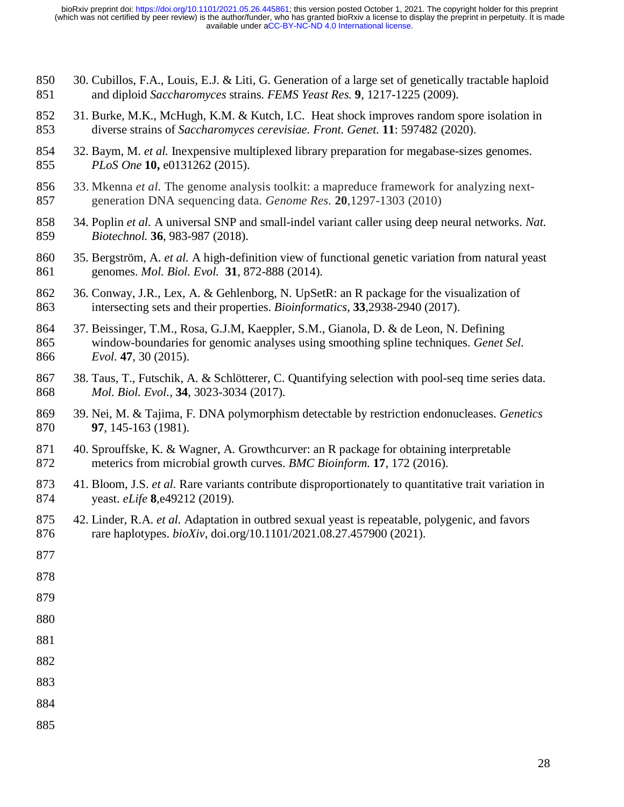- 850 30. Cubillos, F.A., Louis, E.J. & Liti, G. Generation of a large set of genetically tractable haploid 851 and diploid *Saccharomyces* strains. *FEMS Yeast Res.* **9**, 1217-1225 (2009).
- 852 31. Burke, M.K., McHugh, K.M. & Kutch, I.C. Heat shock improves random spore isolation in 853 diverse strains of *Saccharomyces cerevisiae. Front. Genet.* **11**: 597482 (2020).
- 854 32. Baym, M. *et al.* Inexpensive multiplexed library preparation for megabase-sizes genomes. 855 *PLoS One* **10,** e0131262 (2015).
- 856 33. Mkenna *et al.* The genome analysis toolkit: a mapreduce framework for analyzing next-857 generation DNA sequencing data. *Genome Res.* **20**,1297-1303 (2010)
- 858 34. Poplin *et al.* A universal SNP and small-indel variant caller using deep neural networks. *Nat.*  859 *Biotechnol.* **36**, 983-987 (2018).
- 860 35. Bergström, A. *et al.* A high-definition view of functional genetic variation from natural yeast 861 genomes. *Mol. Biol. Evol.* **31**, 872-888 (2014).
- 862 36. Conway, J.R., Lex, A. & Gehlenborg, N. UpSetR: an R package for the visualization of 863 intersecting sets and their properties. *Bioinformatics*, **33**,2938-2940 (2017).
- 864 37. Beissinger, T.M., Rosa, G.J.M, Kaeppler, S.M., Gianola, D. & de Leon, N. Defining 865 window-boundaries for genomic analyses using smoothing spline techniques. *Genet Sel.*  866 *Evol.* **47**, 30 (2015).
- 867 38. Taus, T., Futschik, A. & Schlötterer, C. Quantifying selection with pool-seq time series data. 868 *Mol. Biol. Evol.,* **34**, 3023-3034 (2017).
- 869 39. Nei, M. & Tajima, F. DNA polymorphism detectable by restriction endonucleases. *Genetics* 870 **97**, 145-163 (1981).
- 871 40. Sprouffske, K. & Wagner, A. Growthcurver: an R package for obtaining interpretable 872 meterics from microbial growth curves. *BMC Bioinform.* **17**, 172 (2016).
- 873 41. Bloom, J.S. *et al.* Rare variants contribute disproportionately to quantitative trait variation in 874 yeast. *eLife* **8**,e49212 (2019).
- 875 42. Linder, R.A. *et al.* Adaptation in outbred sexual yeast is repeatable, polygenic, and favors 876 rare haplotypes. *bioXiv*, doi.org/10.1101/2021.08.27.457900 (2021).
- 877
- 878
- 879
- 880
- 881
- 882
- 883
- 884
- 885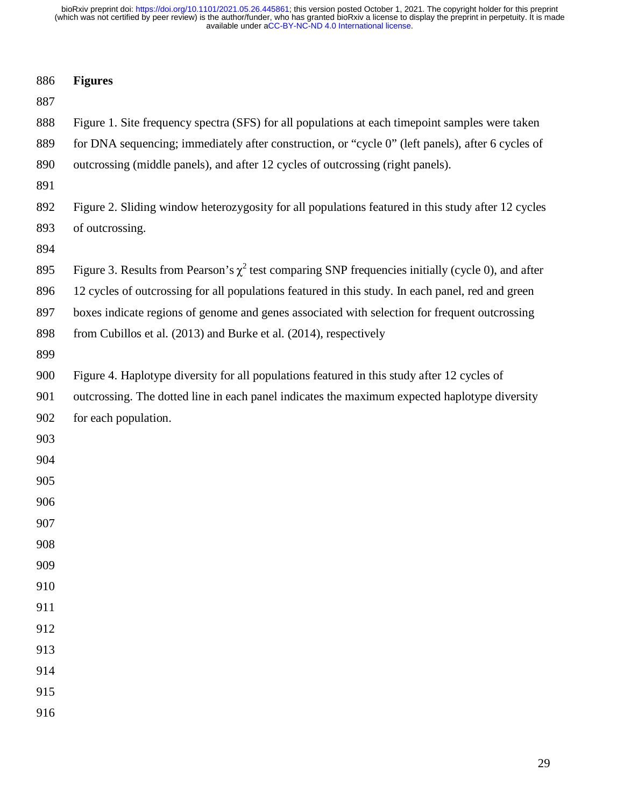| 886 | <b>Figures</b>                                                                                          |
|-----|---------------------------------------------------------------------------------------------------------|
| 887 |                                                                                                         |
| 888 | Figure 1. Site frequency spectra (SFS) for all populations at each timepoint samples were taken         |
| 889 | for DNA sequencing; immediately after construction, or "cycle 0" (left panels), after 6 cycles of       |
| 890 | outcrossing (middle panels), and after 12 cycles of outcrossing (right panels).                         |
| 891 |                                                                                                         |
| 892 | Figure 2. Sliding window heterozygosity for all populations featured in this study after 12 cycles      |
| 893 | of outcrossing.                                                                                         |
| 894 |                                                                                                         |
| 895 | Figure 3. Results from Pearson's $\chi^2$ test comparing SNP frequencies initially (cycle 0), and after |
| 896 | 12 cycles of outcrossing for all populations featured in this study. In each panel, red and green       |
| 897 | boxes indicate regions of genome and genes associated with selection for frequent outcrossing           |
| 898 | from Cubillos et al. (2013) and Burke et al. (2014), respectively                                       |
| 899 |                                                                                                         |
| 900 | Figure 4. Haplotype diversity for all populations featured in this study after 12 cycles of             |
| 901 | outcrossing. The dotted line in each panel indicates the maximum expected haplotype diversity           |
| 902 | for each population.                                                                                    |
| 903 |                                                                                                         |
| 904 |                                                                                                         |
| 905 |                                                                                                         |
| 906 |                                                                                                         |
| 907 |                                                                                                         |
| 908 |                                                                                                         |
| 909 |                                                                                                         |
| 910 |                                                                                                         |
| 911 |                                                                                                         |
| 912 |                                                                                                         |
| 913 |                                                                                                         |
| 914 |                                                                                                         |
| 915 |                                                                                                         |
| 916 |                                                                                                         |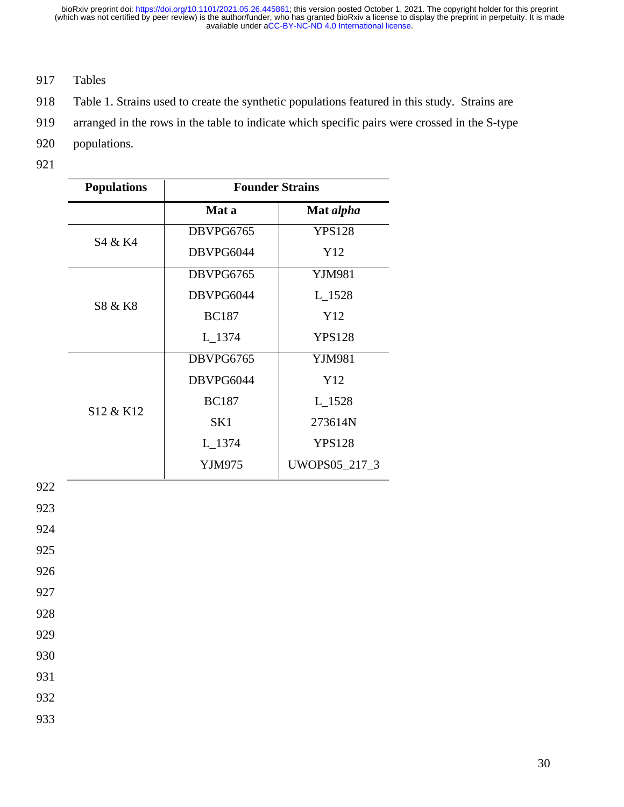- 917 Tables
- 918 Table 1. Strains used to create the synthetic populations featured in this study. Strains are
- 919 arranged in the rows in the table to indicate which specific pairs were crossed in the S-type
- 920 populations.
- 921

|     | <b>Populations</b> | <b>Founder Strains</b> |               |  |  |  |  |
|-----|--------------------|------------------------|---------------|--|--|--|--|
|     |                    | Mat a                  | Mat alpha     |  |  |  |  |
|     | S4 & K4            | DBVPG6765              | <b>YPS128</b> |  |  |  |  |
|     |                    | DBVPG6044              | Y12           |  |  |  |  |
|     |                    | DBVPG6765              | YJM981        |  |  |  |  |
|     |                    | DBVPG6044              | L_1528        |  |  |  |  |
|     | S8 & K8            | <b>BC187</b>           | Y12           |  |  |  |  |
|     |                    | L_1374                 | <b>YPS128</b> |  |  |  |  |
|     |                    | <b>DBVPG6765</b>       | YJM981        |  |  |  |  |
|     | S12 & K12          | DBVPG6044              | Y12           |  |  |  |  |
|     |                    | <b>BC187</b>           | L_1528        |  |  |  |  |
|     |                    | SK1                    | 273614N       |  |  |  |  |
|     |                    | L_1374                 | <b>YPS128</b> |  |  |  |  |
|     |                    | YJM975                 | UWOPS05_217_3 |  |  |  |  |
| 922 |                    |                        |               |  |  |  |  |
| 923 |                    |                        |               |  |  |  |  |
| 924 |                    |                        |               |  |  |  |  |
| 925 |                    |                        |               |  |  |  |  |
| 926 |                    |                        |               |  |  |  |  |
| 927 |                    |                        |               |  |  |  |  |
| 928 |                    |                        |               |  |  |  |  |
| 929 |                    |                        |               |  |  |  |  |
| 930 |                    |                        |               |  |  |  |  |

931 932

933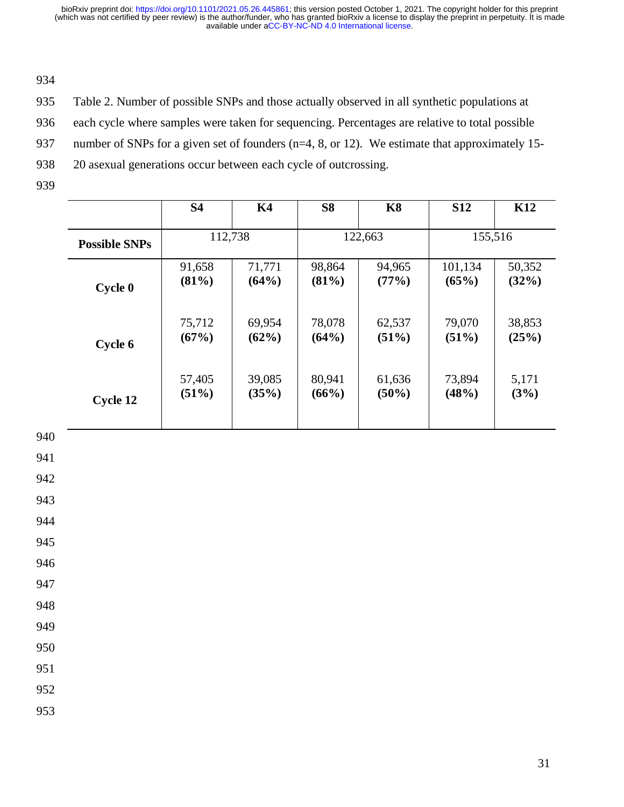- 934
- 935 Table 2. Number of possible SNPs and those actually observed in all synthetic populations at
- 936 each cycle where samples were taken for sequencing. Percentages are relative to total possible
- 937 number of SNPs for a given set of founders (n=4, 8, or 12). We estimate that approximately 15-
- 938 20 asexual generations occur between each cycle of outcrossing.
- 939

| 112,738<br>155,516<br>122,663<br><b>Possible SNPs</b><br>101,134<br>91,658<br>71,771<br>98,864<br>94,965<br>(81%)<br>(64%)<br>(81%)<br>(65%)<br>(77%)<br>Cycle 0<br>75,712<br>78,078<br>79,070<br>69,954<br>62,537<br>(67%)<br>(62%)<br>(64%)<br>(51%)<br>(51%)<br>Cycle 6 | 50,352<br>(32%) |
|----------------------------------------------------------------------------------------------------------------------------------------------------------------------------------------------------------------------------------------------------------------------------|-----------------|
|                                                                                                                                                                                                                                                                            |                 |
|                                                                                                                                                                                                                                                                            |                 |
|                                                                                                                                                                                                                                                                            | 38,853<br>(25%) |
| 80,941<br>57,405<br>39,085<br>61,636<br>73,894<br>(51%)<br>(35%)<br>(66%)<br>(50%)<br>(48%)<br><b>Cycle 12</b>                                                                                                                                                             | 5,171<br>(3%)   |
|                                                                                                                                                                                                                                                                            |                 |

940

941

942

943

944

945

946

- 949
- 950

951

952

953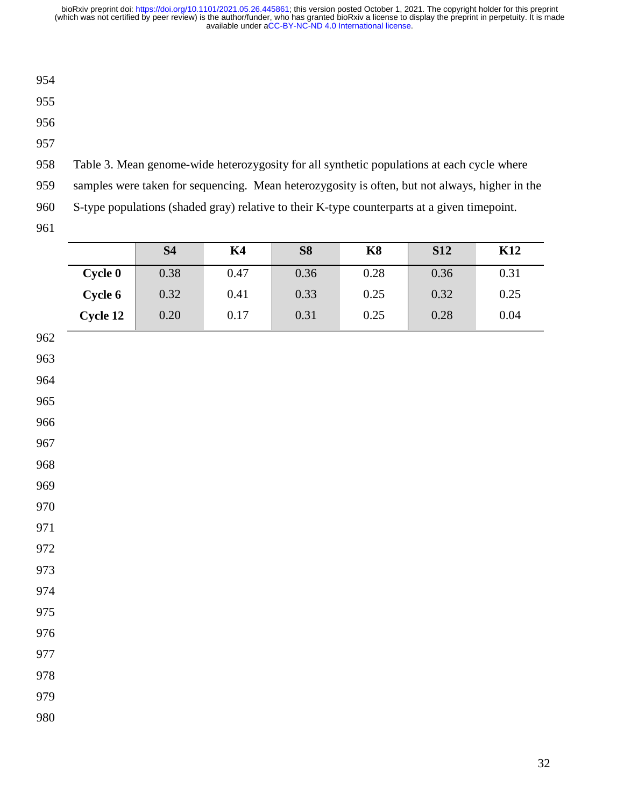- 
- 
- 
- 
- 958 Table 3. Mean genome-wide heterozygosity for all synthetic populations at each cycle where
- 959 samples were taken for sequencing. Mean heterozygosity is often, but not always, higher in the
- 960 S-type populations (shaded gray) relative to their K-type counterparts at a given timepoint.
- 

Т

|     |                              | <b>S4</b> | <b>K4</b> | <b>S8</b> | K8       | <b>S12</b> | K <sub>12</sub> |
|-----|------------------------------|-----------|-----------|-----------|----------|------------|-----------------|
|     | $\overline{\text{Cycle } 0}$ | 0.38      | 0.47      | 0.36      | $0.28\,$ | 0.36       | 0.31            |
|     | Cycle 6                      | $0.32\,$  | $0.41\,$  | 0.33      | 0.25     | $0.32\,$   | 0.25            |
|     | Cycle 12                     | $0.20\,$  | 0.17      | 0.31      | 0.25     | $0.28\,$   | $0.04\,$        |
| 962 |                              |           |           |           |          |            |                 |
| 963 |                              |           |           |           |          |            |                 |
| 964 |                              |           |           |           |          |            |                 |
| 965 |                              |           |           |           |          |            |                 |
| 966 |                              |           |           |           |          |            |                 |
| 967 |                              |           |           |           |          |            |                 |
| 968 |                              |           |           |           |          |            |                 |
| 969 |                              |           |           |           |          |            |                 |
| 970 |                              |           |           |           |          |            |                 |
| 971 |                              |           |           |           |          |            |                 |
| 972 |                              |           |           |           |          |            |                 |
| 973 |                              |           |           |           |          |            |                 |
| 974 |                              |           |           |           |          |            |                 |
| 975 |                              |           |           |           |          |            |                 |
| 976 |                              |           |           |           |          |            |                 |
| 977 |                              |           |           |           |          |            |                 |
| 978 |                              |           |           |           |          |            |                 |
| 979 |                              |           |           |           |          |            |                 |
| 980 |                              |           |           |           |          |            |                 |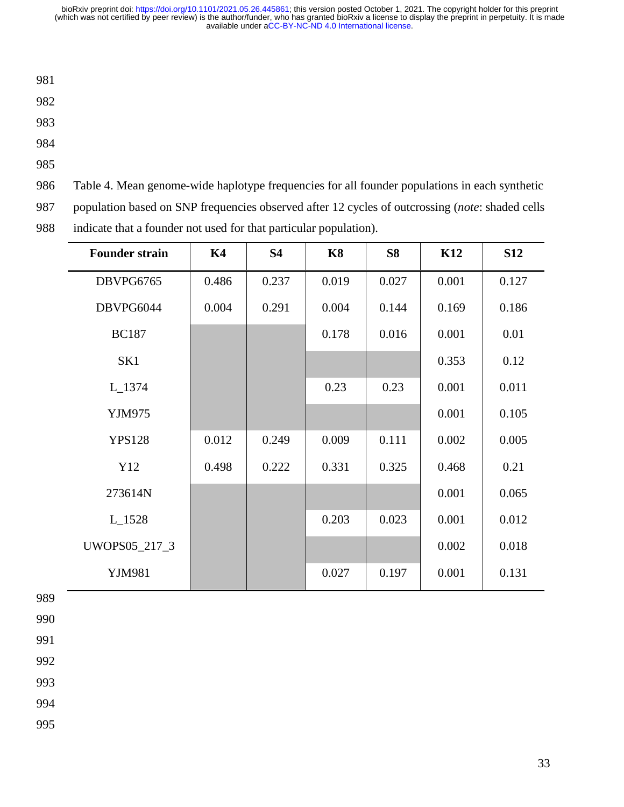- 981
- 982
- 983
- 984
- 
- 985
- 986 Table 4. Mean genome-wide haplotype frequencies for all founder populations in each synthetic
- 987 population based on SNP frequencies observed after 12 cycles of outcrossing (*note*: shaded cells
- 988 indicate that a founder not used for that particular population).

| <b>Founder strain</b> | K4    | <b>S4</b> | <b>K8</b> | <b>S8</b> | <b>K12</b> | <b>S12</b> |
|-----------------------|-------|-----------|-----------|-----------|------------|------------|
| <b>DBVPG6765</b>      | 0.486 | 0.237     | 0.019     | 0.027     | 0.001      | 0.127      |
| DBVPG6044             | 0.004 | 0.291     | 0.004     | 0.144     | 0.169      | 0.186      |
| <b>BC187</b>          |       |           | 0.178     | 0.016     | 0.001      | 0.01       |
| SK1                   |       |           |           |           | 0.353      | 0.12       |
| L_1374                |       |           | 0.23      | 0.23      | 0.001      | 0.011      |
| YJM975                |       |           |           |           | 0.001      | 0.105      |
| <b>YPS128</b>         | 0.012 | 0.249     | 0.009     | 0.111     | 0.002      | 0.005      |
| Y12                   | 0.498 | 0.222     | 0.331     | 0.325     | 0.468      | 0.21       |
| 273614N               |       |           |           |           | 0.001      | 0.065      |
| L_1528                |       |           | 0.203     | 0.023     | 0.001      | 0.012      |
| UWOPS05_217_3         |       |           |           |           | 0.002      | 0.018      |
| <b>YJM981</b>         |       |           | 0.027     | 0.197     | 0.001      | 0.131      |

- 989
- 990

991

992

993

994

995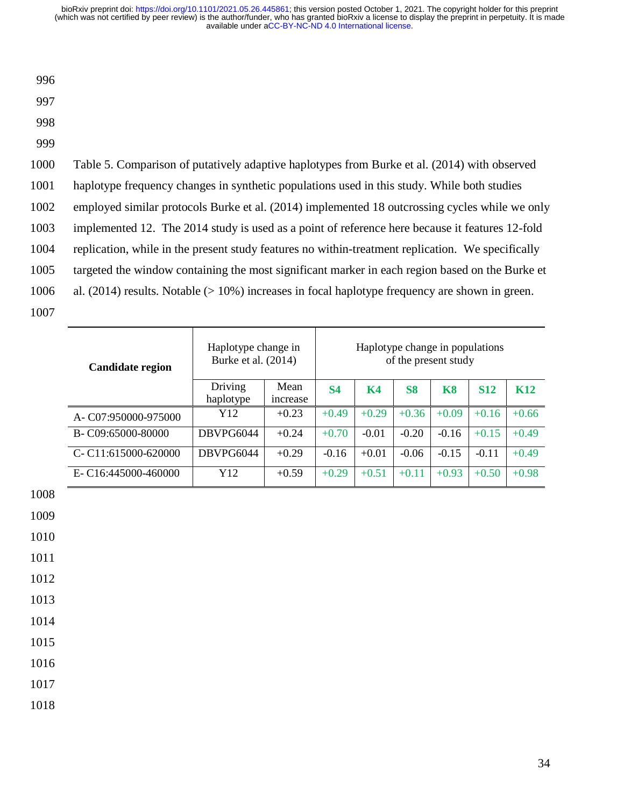- 996
- 997
- 998
- 999

1000 Table 5. Comparison of putatively adaptive haplotypes from Burke et al. (2014) with observed 1001 haplotype frequency changes in synthetic populations used in this study. While both studies 1002 employed similar protocols Burke et al. (2014) implemented 18 outcrossing cycles while we only 1003 implemented 12. The 2014 study is used as a point of reference here because it features 12-fold 1004 replication, while in the present study features no within-treatment replication. We specifically 1005 targeted the window containing the most significant marker in each region based on the Burke et 1006 al. (2014) results. Notable (> 10%) increases in focal haplotype frequency are shown in green. 1007

| <b>Candidate region</b>   | Haplotype change in<br>Burke et al. (2014) |                | Haplotype change in populations<br>of the present study |           |                |           |            |                 |
|---------------------------|--------------------------------------------|----------------|---------------------------------------------------------|-----------|----------------|-----------|------------|-----------------|
|                           | Driving                                    | Mean           | <b>S4</b>                                               | <b>K4</b> | S <sub>8</sub> | <b>K8</b> | <b>S12</b> | K <sub>12</sub> |
|                           | haplotype                                  | <i>ncrease</i> |                                                         |           |                |           |            |                 |
| A-C07:950000-975000       | Y12                                        | $+0.23$        | $+0.49$                                                 | $+0.29$   | $+0.36$        | $+0.09$   | $+0.16$    | $+0.66$         |
| B-C09:65000-80000         | DBVPG6044                                  | $+0.24$        | $+0.70$                                                 | $-0.01$   | $-0.20$        | $-0.16$   | $+0.15$    | $+0.49$         |
| $C - C11:615000 - 620000$ | DBVPG6044                                  | $+0.29$        | $-0.16$                                                 | $+0.01$   | $-0.06$        | $-0.15$   | $-0.11$    | $+0.49$         |
| E-C16:445000-460000       | Y12                                        | $+0.59$        | $+0.29$                                                 | $+0.51$   | $+0.11$        | $+0.93$   | $+0.50$    | $+0.98$         |

1008

1009

1010

1011

1012

1013

1014

1015

1016

1017

1018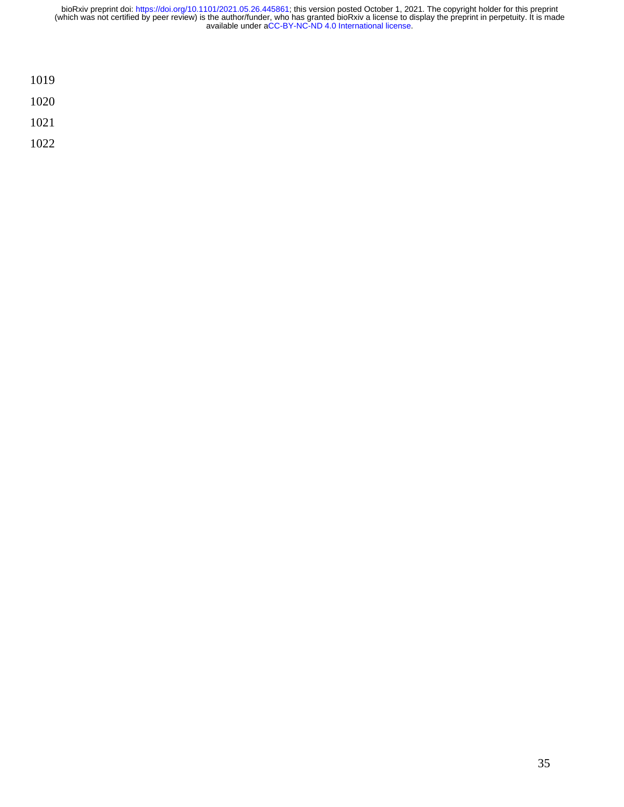- 
- 
- 
-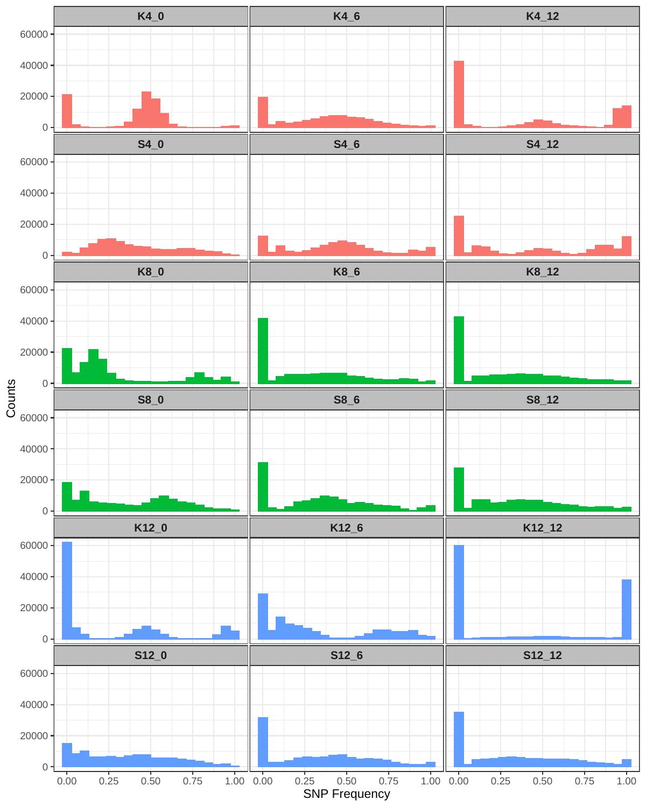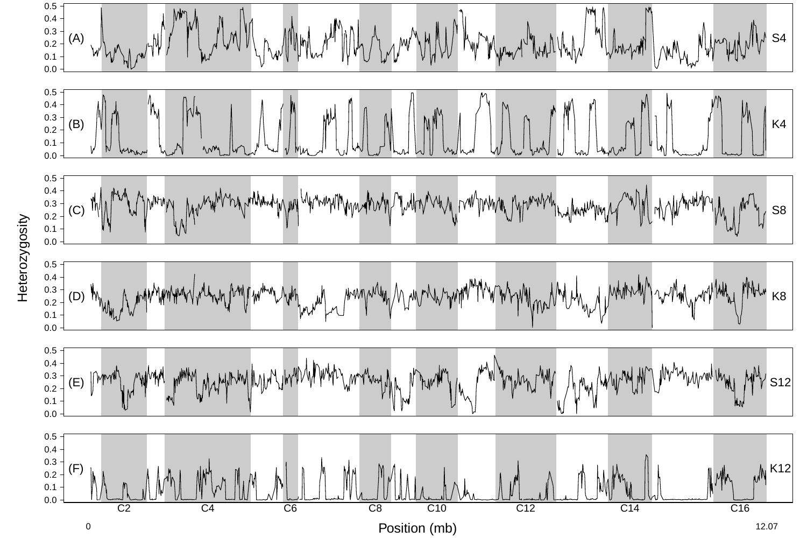# 0.5 0.4 (A) when you with the flow the prophetical thing of your more than the thing with the wind you will with the sa 0.3 0.2 0.1 ₩ 0.0 0.5 'W 0.4 0.3 (B) K4 0.2 0.1 0.0 0.5 (C) S8 0.4 0.3 0.2 0.1 0.0 0.5 0.4 (D) Myan A myanyanyanya hanyanya mangunya mangunya yanya mangunya mangunya mangunya yanya mangunya mangunya ma 0.3 0.2 0.1 0.0 0.5  $\int_{0}^{1}$  (E)  $\int_{0}^{1}$  start of the computation of the contraction of the computation of the contraction of the computation of the computation of the computation of the computation of the computation of the computation 0.4 0.3 0.2 0.1 0.0 0.5 0.4 0.3 (F) <sub>b t</sub> the the study of the film of March (March the film of the film of March March 12 (Film the March 12 minutes) 0.2 0.1 0.0 C2 C4 C6 C8 C10 C12 C14 C16 0 12.07 Position (mb)

Heterozygosity Heterozygosity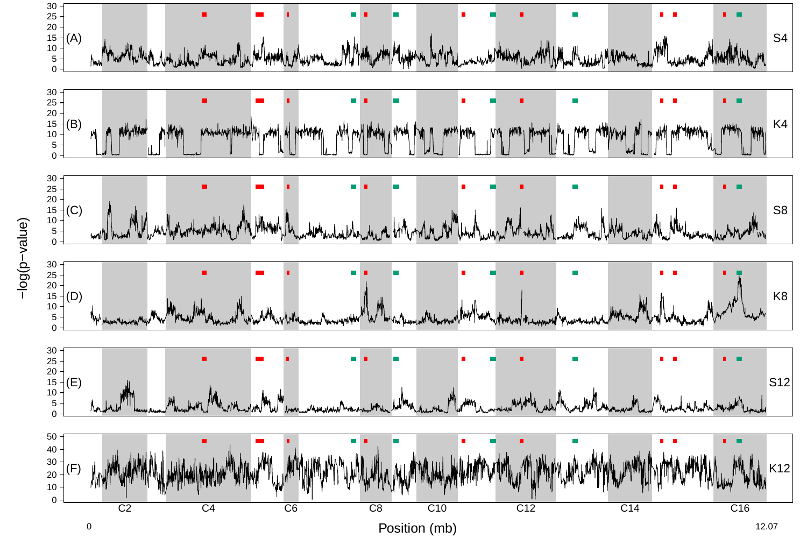

(ənlex-d)6ol-−log(p−value)